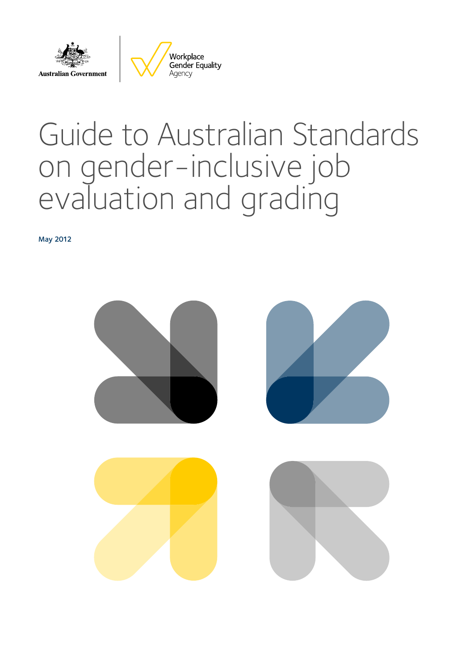

# Guide to Australian Standards on gender-inclusive job evaluation and grading

May 2012

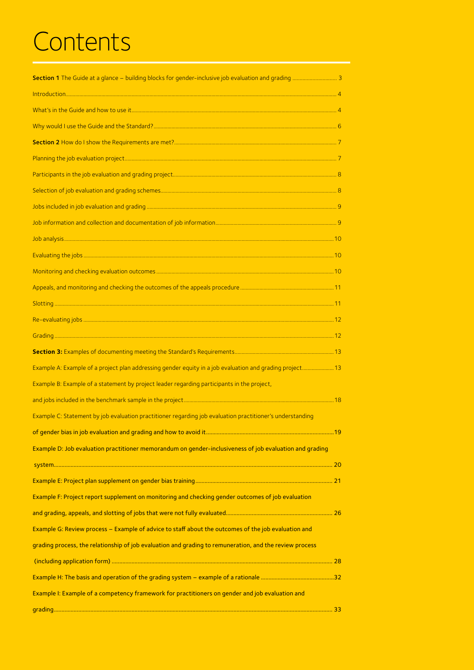# **Contents**

| Section 1 The Guide at a glance - building blocks for gender-inclusive job evaluation and grading  3      |  |
|-----------------------------------------------------------------------------------------------------------|--|
|                                                                                                           |  |
|                                                                                                           |  |
|                                                                                                           |  |
|                                                                                                           |  |
|                                                                                                           |  |
|                                                                                                           |  |
|                                                                                                           |  |
|                                                                                                           |  |
|                                                                                                           |  |
|                                                                                                           |  |
|                                                                                                           |  |
|                                                                                                           |  |
|                                                                                                           |  |
|                                                                                                           |  |
|                                                                                                           |  |
|                                                                                                           |  |
|                                                                                                           |  |
| Example A: Example of a project plan addressing gender equity in a job evaluation and grading project 13  |  |
| Example B: Example of a statement by project leader regarding participants in the project,                |  |
|                                                                                                           |  |
| Example C: Statement by job evaluation practitioner regarding job evaluation practitioner's understanding |  |
|                                                                                                           |  |
| Example D: Job evaluation practitioner memorandum on gender-inclusiveness of job evaluation and grading   |  |
|                                                                                                           |  |
|                                                                                                           |  |
| Example F: Project report supplement on monitoring and checking gender outcomes of job evaluation         |  |
|                                                                                                           |  |
| Example G: Review process - Example of advice to staff about the outcomes of the job evaluation and       |  |
| grading process, the relationship of job evaluation and grading to remuneration, and the review process   |  |
|                                                                                                           |  |
|                                                                                                           |  |
| Example I: Example of a competency framework for practitioners on gender and job evaluation and           |  |
|                                                                                                           |  |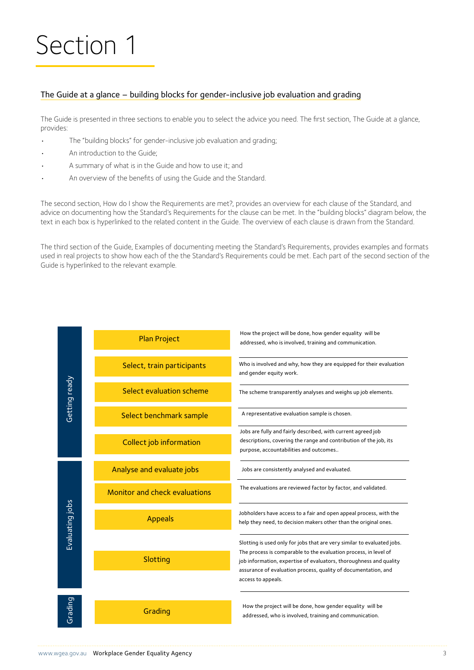# Section 1

### The Guide at a glance – building blocks for gender-inclusive job evaluation and grading

The Guide is presented in three sections to enable you to select the advice you need. The first section, The Guide at a glance, provides:

- The "building blocks" for gender-inclusive job evaluation and grading;
- An introduction to the Guide;
- A summary of what is in the Guide and how to use it; and
- An overview of the benefits of using the Guide and the Standard.

The second section, How do I show the Requirements are met?, provides an overview for each clause of the Standard, and advice on documenting how the Standard's Requirements for the clause can be met. In the "building blocks" diagram below, the text in each box is hyperlinked to the related content in the Guide. The overview of each clause is drawn from the Standard.

The third section of the Guide, Examples of documenting meeting the Standard's Requirements, provides examples and formats used in real projects to show how each of the the Standard's Requirements could be met. Each part of the second section of the Guide is hyperlinked to the relevant example.

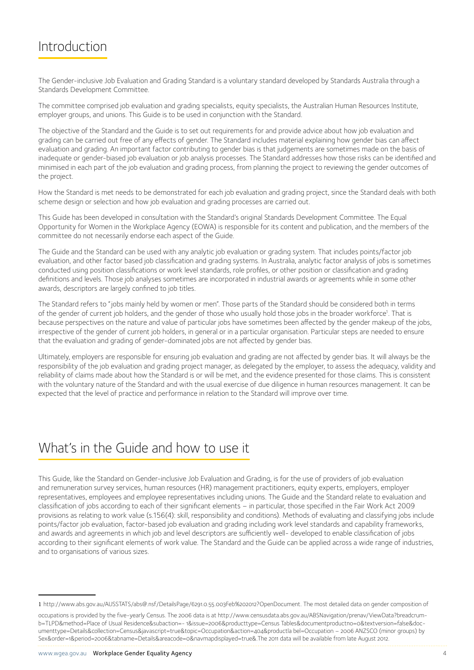### Introduction

The Gender-inclusive Job Evaluation and Grading Standard is a voluntary standard developed by Standards Australia through a Standards Development Committee.

The committee comprised job evaluation and grading specialists, equity specialists, the Australian Human Resources Institute, employer groups, and unions. This Guide is to be used in conjunction with the Standard.

The objective of the Standard and the Guide is to set out requirements for and provide advice about how job evaluation and grading can be carried out free of any effects of gender. The Standard includes material explaining how gender bias can affect evaluation and grading. An important factor contributing to gender bias is that judgements are sometimes made on the basis of inadequate or gender-biased job evaluation or job analysis processes. The Standard addresses how those risks can be identified and minimised in each part of the job evaluation and grading process, from planning the project to reviewing the gender outcomes of the project.

How the Standard is met needs to be demonstrated for each job evaluation and grading project, since the Standard deals with both scheme design or selection and how job evaluation and grading processes are carried out.

This Guide has been developed in consultation with the Standard's original Standards Development Committee. The Equal Opportunity for Women in the Workplace Agency (EOWA) is responsible for its content and publication, and the members of the committee do not necessarily endorse each aspect of the Guide.

The Guide and the Standard can be used with any analytic job evaluation or grading system. That includes points/factor job evaluation, and other factor based job classification and grading systems. In Australia, analytic factor analysis of jobs is sometimes conducted using position classifications or work level standards, role profiles, or other position or classification and grading definitions and levels. Those job analyses sometimes are incorporated in industrial awards or agreements while in some other awards, descriptors are largely confined to job titles.

The Standard refers to "jobs mainly held by women or men". Those parts of the Standard should be considered both in terms of the gender of current job holders, and the gender of those who usually hold those jobs in the broader workforce<sup>1</sup>. That is because perspectives on the nature and value of particular jobs have sometimes been affected by the gender makeup of the jobs, irrespective of the gender of current job holders, in general or in a particular organisation. Particular steps are needed to ensure that the evaluation and grading of gender-dominated jobs are not affected by gender bias.

Ultimately, employers are responsible for ensuring job evaluation and grading are not affected by gender bias. It will always be the responsibility of the job evaluation and grading project manager, as delegated by the employer, to assess the adequacy, validity and reliability of claims made about how the Standard is or will be met, and the evidence presented for those claims. This is consistent with the voluntary nature of the Standard and with the usual exercise of due diligence in human resources management. It can be expected that the level of practice and performance in relation to the Standard will improve over time.

### What's in the Guide and how to use it

This Guide, like the Standard on Gender-inclusive Job Evaluation and Grading, is for the use of providers of job evaluation and remuneration survey services, human resources (HR) management practitioners, equity experts, employers, employer representatives, employees and employee representatives including unions. The Guide and the Standard relate to evaluation and classification of jobs according to each of their significant elements – in particular, those specified in the Fair Work Act 2009 provisions as relating to work value (s.156(4): skill, responsibility and conditions). Methods of evaluating and classifying jobs include points/factor job evaluation, factor-based job evaluation and grading including work level standards and capability frameworks, and awards and agreements in which job and level descriptors are sufficiently well- developed to enable classification of jobs according to their significant elements of work value. The Standard and the Guide can be applied across a wide range of industries, and to organisations of various sizes.

<sup>1</sup> http://www.abs.gov.au/AUSSTATS/abs@.nsf/DetailsPage/6291.0.55.003Feb%202012?OpenDocument. The most detailed data on gender composition of

occupations is provided by the five-yearly Census. The 2006 data is at http://www.censusdata.abs.gov.au/ABSNavigation/prenav/ViewData?breadcrumb=TLPD&method=Place of Usual Residence&subaction=- 1&issue=2006&producttype=Census Tables&documentproductno=0&textversion=false&documenttype=Details&collection=Census&javascript=true&topic=Occupation&action=404&productla bel=Occupation – 2006 ANZSCO (minor groups) by Sex&order=1&period=2006&tabname=Details&areacode=0&navmapdisplayed=true&.The 2011 data will be available from late August 2012.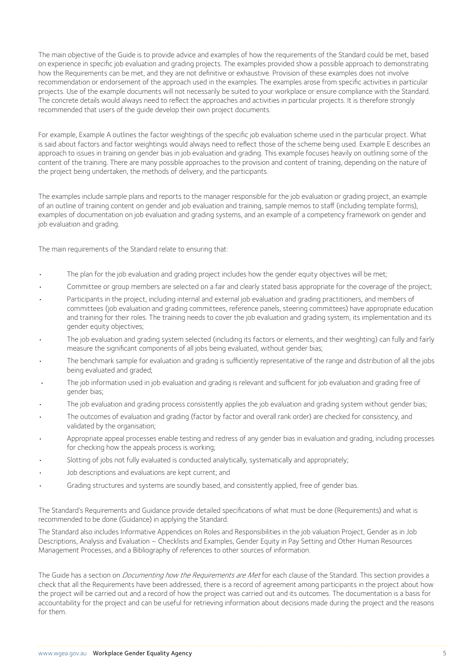The main objective of the Guide is to provide advice and examples of how the requirements of the Standard could be met, based on experience in specific job evaluation and grading projects. The examples provided show a possible approach to demonstrating how the Requirements can be met, and they are not definitive or exhaustive. Provision of these examples does not involve recommendation or endorsement of the approach used in the examples. The examples arose from specific activities in particular projects. Use of the example documents will not necessarily be suited to your workplace or ensure compliance with the Standard. The concrete details would always need to reflect the approaches and activities in particular projects. It is therefore strongly recommended that users of the guide develop their own project documents.

For example, Example A outlines the factor weightings of the specific job evaluation scheme used in the particular project. What is said about factors and factor weightings would always need to reflect those of the scheme being used. Example E describes an approach to issues in training on gender bias in job evaluation and grading. This example focuses heavily on outlining some of the content of the training. There are many possible approaches to the provision and content of training, depending on the nature of the project being undertaken, the methods of delivery, and the participants.

The examples include sample plans and reports to the manager responsible for the job evaluation or grading project, an example of an outline of training content on gender and job evaluation and training, sample memos to staff (including template forms), examples of documentation on job evaluation and grading systems, and an example of a competency framework on gender and job evaluation and grading.

The main requirements of the Standard relate to ensuring that:

- The plan for the job evaluation and grading project includes how the gender equity objectives will be met;
- Committee or group members are selected on a fair and clearly stated basis appropriate for the coverage of the project;
- Participants in the project, including internal and external job evaluation and grading practitioners, and members of committees (job evaluation and grading committees, reference panels, steering committees) have appropriate education and training for their roles. The training needs to cover the job evaluation and grading system, its implementation and its gender equity objectives;
- The job evaluation and grading system selected (including its factors or elements, and their weighting) can fully and fairly measure the significant components of all jobs being evaluated, without gender bias;
- The benchmark sample for evaluation and grading is sufficiently representative of the range and distribution of all the jobs being evaluated and graded;
- The job information used in job evaluation and grading is relevant and sufficient for job evaluation and grading free of gender bias;
- The job evaluation and grading process consistently applies the job evaluation and grading system without gender bias;
- The outcomes of evaluation and grading (factor by factor and overall rank order) are checked for consistency, and validated by the organisation;
- Appropriate appeal processes enable testing and redress of any gender bias in evaluation and grading, including processes for checking how the appeals process is working;
- Slotting of jobs not fully evaluated is conducted analytically, systematically and appropriately;
- Job descriptions and evaluations are kept current; and
- Grading structures and systems are soundly based, and consistently applied, free of gender bias.

The Standard's Requirements and Guidance provide detailed specifications of what must be done (Requirements) and what is recommended to be done (Guidance) in applying the Standard.

The Standard also includes Informative Appendices on Roles and Responsibilities in the job valuation Project, Gender as in Job Descriptions, Analysis and Evaluation – Checklists and Examples, Gender Equity in Pay Setting and Other Human Resources Management Processes, and a Bibliography of references to other sources of information.

The Guide has a section on *Documenting how the Requirements are Met* for each clause of the Standard. This section provides a check that all the Requirements have been addressed, there is a record of agreement among participants in the project about how the project will be carried out and a record of how the project was carried out and its outcomes. The documentation is a basis for accountability for the project and can be useful for retrieving information about decisions made during the project and the reasons for them.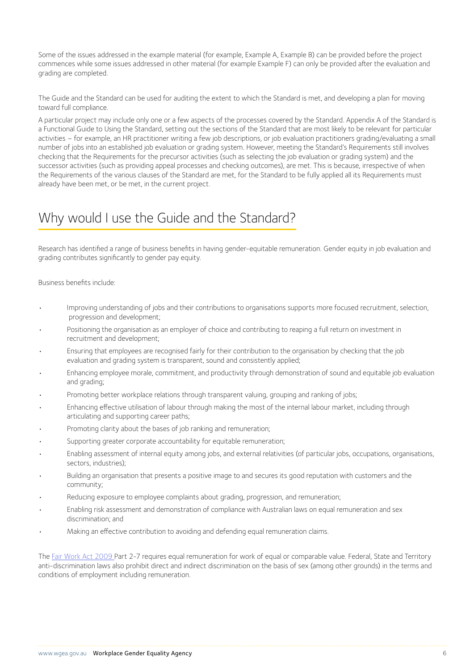Some of the issues addressed in the example material (for example, Example A, Example B) can be provided before the project commences while some issues addressed in other material (for example Example F) can only be provided after the evaluation and grading are completed.

The Guide and the Standard can be used for auditing the extent to which the Standard is met, and developing a plan for moving toward full compliance.

A particular project may include only one or a few aspects of the processes covered by the Standard. Appendix A of the Standard is a Functional Guide to Using the Standard, setting out the sections of the Standard that are most likely to be relevant for particular activities – for example, an HR practitioner writing a few job descriptions, or job evaluation practitioners grading/evaluating a small number of jobs into an established job evaluation or grading system. However, meeting the Standard's Requirements still involves checking that the Requirements for the precursor activities (such as selecting the job evaluation or grading system) and the successor activities (such as providing appeal processes and checking outcomes), are met. This is because, irrespective of when the Requirements of the various clauses of the Standard are met, for the Standard to be fully applied all its Requirements must already have been met, or be met, in the current project.

### Why would I use the Guide and the Standard?

Research has identified a range of business benefits in having gender-equitable remuneration. Gender equity in job evaluation and grading contributes significantly to gender pay equity.

Business benefits include:

- Improving understanding of jobs and their contributions to organisations supports more focused recruitment, selection, progression and development;
- Positioning the organisation as an employer of choice and contributing to reaping a full return on investment in recruitment and development;
- Ensuring that employees are recognised fairly for their contribution to the organisation by checking that the job evaluation and grading system is transparent, sound and consistently applied;
- Enhancing employee morale, commitment, and productivity through demonstration of sound and equitable job evaluation and grading;
- Promoting better workplace relations through transparent valuing, grouping and ranking of jobs;
- Enhancing effective utilisation of labour through making the most of the internal labour market, including through articulating and supporting career paths;
- Promoting clarity about the bases of job ranking and remuneration;
- Supporting greater corporate accountability for equitable remuneration;
- Enabling assessment of internal equity among jobs, and external relativities (of particular jobs, occupations, organisations, sectors, industries);
- Building an organisation that presents a positive image to and secures its good reputation with customers and the community;
- Reducing exposure to employee complaints about grading, progression, and remuneration;
- Enabling risk assessment and demonstration of compliance with Australian laws on equal remuneration and sex discrimination; and
- Making an effective contribution to avoiding and defending equal remuneration claims.

The [Fair Work Act 2009 P](https://www.legislation.gov.au/Details/C2018C00512)art 2-7 requires equal remuneration for work of equal or comparable value. Federal, State and Territory anti-discrimination laws also prohibit direct and indirect discrimination on the basis of sex (among other grounds) in the terms and conditions of employment including remuneration.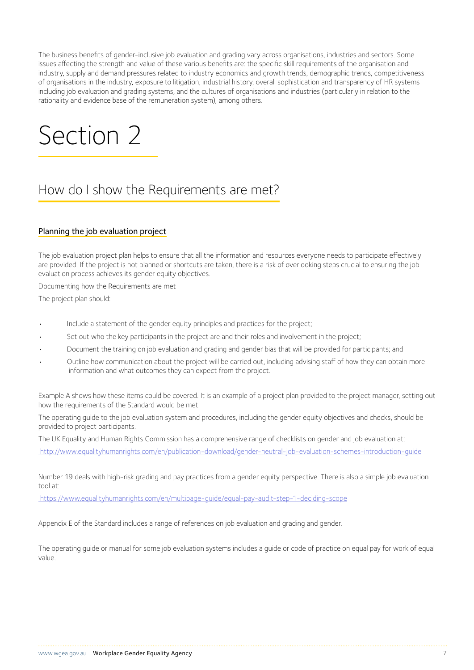The business benefits of gender-inclusive job evaluation and grading vary across organisations, industries and sectors. Some issues affecting the strength and value of these various benefits are: the specific skill requirements of the organisation and industry, supply and demand pressures related to industry economics and growth trends, demographic trends, competitiveness of organisations in the industry, exposure to litigation, industrial history, overall sophistication and transparency of HR systems including job evaluation and grading systems, and the cultures of organisations and industries (particularly in relation to the rationality and evidence base of the remuneration system), among others.

# Section 2

### How do I show the Requirements are met?

### Planning the job evaluation project

The job evaluation project plan helps to ensure that all the information and resources everyone needs to participate effectively are provided. If the project is not planned or shortcuts are taken, there is a risk of overlooking steps crucial to ensuring the job evaluation process achieves its gender equity objectives.

Documenting how the Requirements are met

The project plan should:

- Include a statement of the gender equity principles and practices for the project;
- Set out who the key participants in the project are and their roles and involvement in the project;
- Document the training on job evaluation and grading and gender bias that will be provided for participants; and
- Outline how communication about the project will be carried out, including advising staff of how they can obtain more information and what outcomes they can expect from the project.

Example A shows how these items could be covered. It is an example of a project plan provided to the project manager, setting out how the requirements of the Standard would be met.

The operating guide to the job evaluation system and procedures, including the gender equity objectives and checks, should be provided to project participants.

The UK Equality and Human Rights Commission has a comprehensive range of checklists on gender and job evaluation at:  [http://www.equalityhumanrights.com/en/publication-download/gender-neutral-job-evaluation-schemes-introduction-guide]( http://www.equalityhumanrights.com/en/publication-download/gender-neutral-job-evaluation-schemes-in)

Number 19 deals with high-risk grading and pay practices from a gender equity perspective. There is also a simple job evaluation tool at:

 [https://www.equalityhumanrights.com/en/multipage-guide/equal-pay-audit-step-1-deciding-scope]( https://www.equalityhumanrights.com/en/multipage-guide/equal-pay-audit-step-1-deciding-scope)

Appendix E of the Standard includes a range of references on job evaluation and grading and gender.

The operating guide or manual for some job evaluation systems includes a guide or code of practice on equal pay for work of equal value.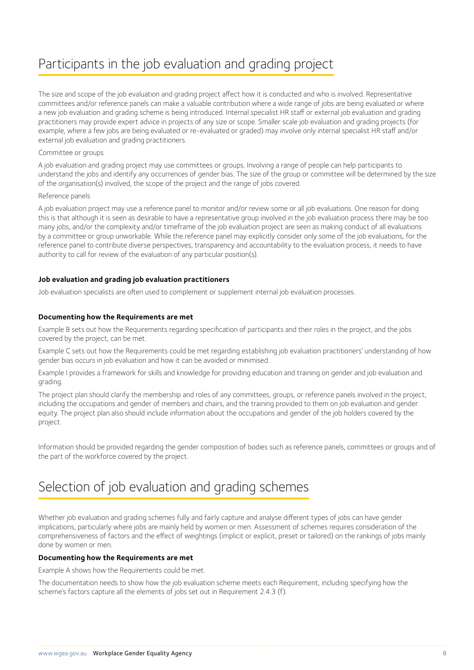### Participants in the job evaluation and grading project

The size and scope of the job evaluation and grading project affect how it is conducted and who is involved. Representative committees and/or reference panels can make a valuable contribution where a wide range of jobs are being evaluated or where a new job evaluation and grading scheme is being introduced. Internal specialist HR staff or external job evaluation and grading practitioners may provide expert advice in projects of any size or scope. Smaller scale job evaluation and grading projects (for example, where a few jobs are being evaluated or re-evaluated or graded) may involve only internal specialist HR staff and/or external job evaluation and grading practitioners.

### Committee or groups

A job evaluation and grading project may use committees or groups. Involving a range of people can help participants to understand the jobs and identify any occurrences of gender bias. The size of the group or committee will be determined by the size of the organisation(s) involved, the scope of the project and the range of jobs covered.

#### Reference panels

A job evaluation project may use a reference panel to monitor and/or review some or all job evaluations. One reason for doing this is that although it is seen as desirable to have a representative group involved in the job evaluation process there may be too many jobs, and/or the complexity and/or timeframe of the job evaluation project are seen as making conduct of all evaluations by a committee or group unworkable. While the reference panel may explicitly consider only some of the job evaluations, for the reference panel to contribute diverse perspectives, transparency and accountability to the evaluation process, it needs to have authority to call for review of the evaluation of any particular position(s).

### **Job evaluation and grading job evaluation practitioners**

Job evaluation specialists are often used to complement or supplement internal job evaluation processes.

### **Documenting how the Requirements are met**

Example B sets out how the Requirements regarding specification of participants and their roles in the project, and the jobs covered by the project, can be met.

Example C sets out how the Requirements could be met regarding establishing job evaluation practitioners' understanding of how gender bias occurs in job evaluation and how it can be avoided or minimised.

Example I provides a framework for skills and knowledge for providing education and training on gender and job evaluation and grading.

The project plan should clarify the membership and roles of any committees, groups, or reference panels involved in the project, including the occupations and gender of members and chairs, and the training provided to them on job evaluation and gender equity. The project plan also should include information about the occupations and gender of the job holders covered by the project.

Information should be provided regarding the gender composition of bodies such as reference panels, committees or groups and of the part of the workforce covered by the project.

### Selection of job evaluation and grading schemes

Whether job evaluation and grading schemes fully and fairly capture and analyse different types of jobs can have gender implications, particularly where jobs are mainly held by women or men. Assessment of schemes requires consideration of the comprehensiveness of factors and the effect of weightings (implicit or explicit, preset or tailored) on the rankings of jobs mainly done by women or men.

#### **Documenting how the Requirements are met**

Example A shows how the Requirements could be met.

The documentation needs to show how the job evaluation scheme meets each Requirement, including specifying how the scheme's factors capture all the elements of jobs set out in Requirement 2.4.3 (f).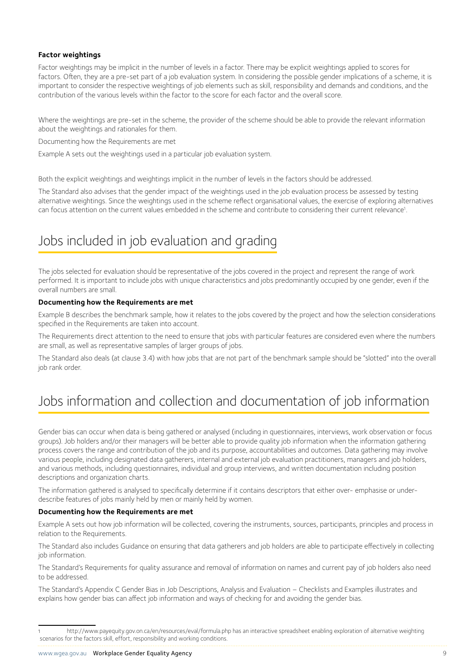### **Factor weightings**

Factor weightings may be implicit in the number of levels in a factor. There may be explicit weightings applied to scores for factors. Often, they are a pre-set part of a job evaluation system. In considering the possible gender implications of a scheme, it is important to consider the respective weightings of job elements such as skill, responsibility and demands and conditions, and the contribution of the various levels within the factor to the score for each factor and the overall score.

Where the weightings are pre-set in the scheme, the provider of the scheme should be able to provide the relevant information about the weightings and rationales for them.

Documenting how the Requirements are met

Example A sets out the weightings used in a particular job evaluation system.

Both the explicit weightings and weightings implicit in the number of levels in the factors should be addressed.

The Standard also advises that the gender impact of the weightings used in the job evaluation process be assessed by testing alternative weightings. Since the weightings used in the scheme reflect organisational values, the exercise of exploring alternatives can focus attention on the current values embedded in the scheme and contribute to considering their current relevance<sup>1</sup>. .

### Jobs included in job evaluation and grading

The jobs selected for evaluation should be representative of the jobs covered in the project and represent the range of work performed. It is important to include jobs with unique characteristics and jobs predominantly occupied by one gender, even if the overall numbers are small.

### **Documenting how the Requirements are met**

Example B describes the benchmark sample, how it relates to the jobs covered by the project and how the selection considerations specified in the Requirements are taken into account.

The Requirements direct attention to the need to ensure that jobs with particular features are considered even where the numbers are small, as well as representative samples of larger groups of jobs.

The Standard also deals (at clause 3.4) with how jobs that are not part of the benchmark sample should be "slotted" into the overall job rank order.

### Jobs information and collection and documentation of job information

Gender bias can occur when data is being gathered or analysed (including in questionnaires, interviews, work observation or focus groups). Job holders and/or their managers will be better able to provide quality job information when the information gathering process covers the range and contribution of the job and its purpose, accountabilities and outcomes. Data gathering may involve various people, including designated data gatherers, internal and external job evaluation practitioners, managers and job holders, and various methods, including questionnaires, individual and group interviews, and written documentation including position descriptions and organization charts.

The information gathered is analysed to specifically determine if it contains descriptors that either over- emphasise or underdescribe features of jobs mainly held by men or mainly held by women.

#### **Documenting how the Requirements are met**

Example A sets out how job information will be collected, covering the instruments, sources, participants, principles and process in relation to the Requirements.

The Standard also includes Guidance on ensuring that data gatherers and job holders are able to participate effectively in collecting job information.

The Standard's Requirements for quality assurance and removal of information on names and current pay of job holders also need to be addressed.

The Standard's Appendix C Gender Bias in Job Descriptions, Analysis and Evaluation – Checklists and Examples illustrates and explains how gender bias can affect job information and ways of checking for and avoiding the gender bias.

http://www.payequity.gov.on.ca/en/resources/eval/formula.php has an interactive spreadsheet enabling exploration of alternative weighting scenarios for the factors skill, effort, responsibility and working conditions.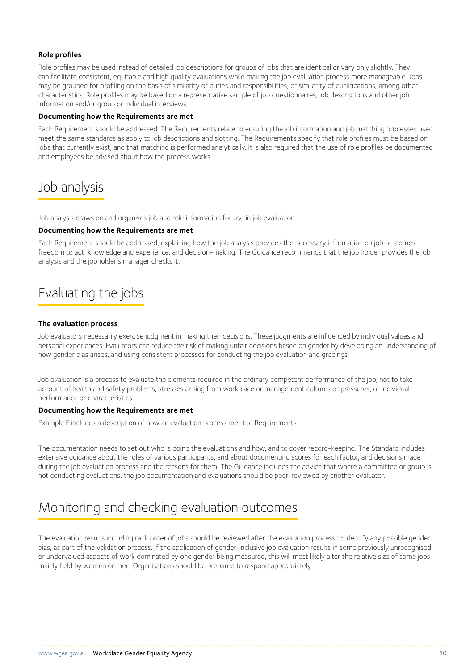### **Role profiles**

Role profiles may be used instead of detailed job descriptions for groups of jobs that are identical or vary only slightly. They can facilitate consistent, equitable and high quality evaluations while making the job evaluation process more manageable. Jobs may be grouped for profiling on the basis of similarity of duties and responsibilities, or similarity of qualifications, among other characteristics. Role profiles may be based on a representative sample of job questionnaires, job descriptions and other job information and/or group or individual interviews.

#### **Documenting how the Requirements are met**

Each Requirement should be addressed. The Requirements relate to ensuring the job information and job matching processes used meet the same standards as apply to job descriptions and slotting. The Requirements specify that role profiles must be based on jobs that currently exist, and that matching is performed analytically. It is also required that the use of role profiles be documented and employees be advised about how the process works.

### Job analysis

Job analysis draws on and organises job and role information for use in job evaluation.

### **Documenting how the Requirements are met**

Each Requirement should be addressed, explaining how the job analysis provides the necessary information on job outcomes, freedom to act, knowledge and experience, and decision-making. The Guidance recommends that the job holder provides the job analysis and the jobholder's manager checks it.

### Evaluating the jobs

#### **The evaluation process**

Job evaluators necessarily exercise judgment in making their decisions. These judgments are influenced by individual values and personal experiences. Evaluators can reduce the risk of making unfair decisions based on gender by developing an understanding of how gender bias arises, and using consistent processes for conducting the job evaluation and gradings.

Job evaluation is a process to evaluate the elements required in the ordinary competent performance of the job, not to take account of health and safety problems, stresses arising from workplace or management cultures or pressures, or individual performance or characteristics.

#### **Documenting how the Requirements are met**

Example F includes a description of how an evaluation process met the Requirements.

The documentation needs to set out who is doing the evaluations and how, and to cover record-keeping. The Standard includes extensive guidance about the roles of various participants, and about documenting scores for each factor, and decisions made during the job evaluation process and the reasons for them. The Guidance includes the advice that where a committee or group is not conducting evaluations, the job documentation and evaluations should be peer-reviewed by another evaluator.

### Monitoring and checking evaluation outcomes

The evaluation results including rank order of jobs should be reviewed after the evaluation process to identify any possible gender bias, as part of the validation process. If the application of gender-inclusive job evaluation results in some previously unrecognised or undervalued aspects of work dominated by one gender being measured, this will most likely alter the relative size of some jobs mainly held by women or men. Organisations should be prepared to respond appropriately.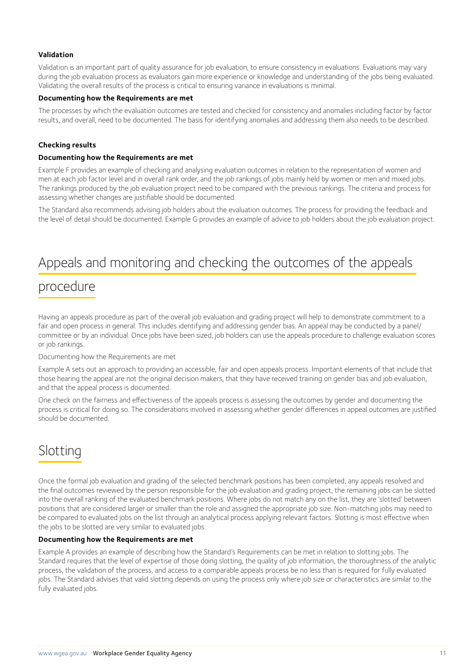### **Validation**

Validation is an important part of quality assurance for job evaluation, to ensure consistency in evaluations. Evaluations may vary during the job evaluation process as evaluators gain more experience or knowledge and understanding of the jobs being evaluated. Validating the overall results of the process is critical to ensuring variance in evaluations is minimal.

#### **Documenting how the Requirements are met**

The processes by which the evaluation outcomes are tested and checked for consistency and anomalies including factor by factor results, and overall, need to be documented. The basis for identifying anomalies and addressing them also needs to be described.

### **Checking results**

#### **Documenting how the Requirements are met**

Example F provides an example of checking and analysing evaluation outcomes in relation to the representation of women and men at each job factor level and in overall rank order, and the job rankings of jobs mainly held by women or men and mixed jobs. The rankings produced by the job evaluation project need to be compared with the previous rankings. The criteria and process for assessing whether changes are justifiable should be documented.

The Standard also recommends advising job holders about the evaluation outcomes. The process for providing the feedback and the level of detail should be documented. Example G provides an example of advice to job holders about the job evaluation project.

### Appeals and monitoring and checking the outcomes of the appeals

### procedure

Having an appeals procedure as part of the overall job evaluation and grading project will help to demonstrate commitment to a fair and open process in general. This includes identifying and addressing gender bias. An appeal may be conducted by a panel/ committee or by an individual. Once jobs have been sized, job holders can use the appeals procedure to challenge evaluation scores or job rankings.

Documenting how the Requirements are met

Example A sets out an approach to providing an accessible, fair and open appeals process. Important elements of that include that those hearing the appeal are not the original decision makers, that they have received training on gender bias and job evaluation, and that the appeal process is documented.

One check on the fairness and effectiveness of the appeals process is assessing the outcomes by gender and documenting the process is critical for doing so. The considerations involved in assessing whether gender differences in appeal outcomes are justified should be documented.

### Slotting

Once the formal job evaluation and grading of the selected benchmark positions has been completed, any appeals resolved and the final outcomes reviewed by the person responsible for the job evaluation and grading project, the remaining jobs can be slotted into the overall ranking of the evaluated benchmark positions. Where jobs do not match any on the list, they are 'slotted' between positions that are considered larger or smaller than the role and assigned the appropriate job size. Non-matching jobs may need to be compared to evaluated jobs on the list through an analytical process applying relevant factors. Slotting is most effective when the jobs to be slotted are very similar to evaluated jobs.

#### **Documenting how the Requirements are met**

Example A provides an example of describing how the Standard's Requirements can be met in relation to slotting jobs. The Standard requires that the level of expertise of those doing slotting, the quality of job information, the thoroughness of the analytic process, the validation of the process, and access to a comparable appeals process be no less than is required for fully evaluated jobs. The Standard advises that valid slotting depends on using the process only where job size or characteristics are similar to the fully evaluated jobs.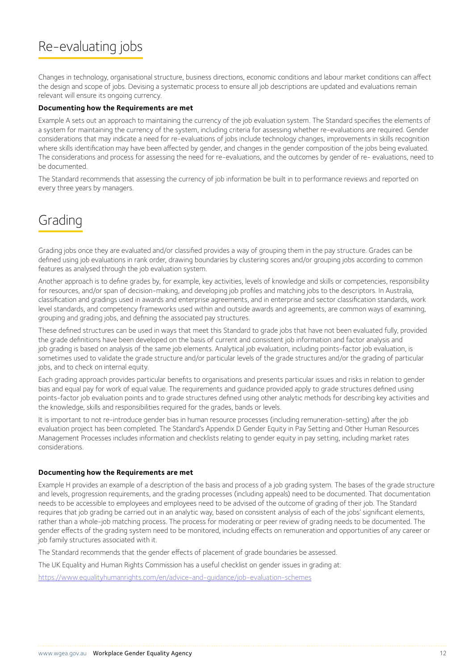### Re-evaluating jobs

Changes in technology, organisational structure, business directions, economic conditions and labour market conditions can affect the design and scope of jobs. Devising a systematic process to ensure all job descriptions are updated and evaluations remain relevant will ensure its ongoing currency.

#### **Documenting how the Requirements are met**

Example A sets out an approach to maintaining the currency of the job evaluation system. The Standard specifies the elements of a system for maintaining the currency of the system, including criteria for assessing whether re-evaluations are required. Gender considerations that may indicate a need for re-evaluations of jobs include technology changes, improvements in skills recognition where skills identification may have been affected by gender, and changes in the gender composition of the jobs being evaluated. The considerations and process for assessing the need for re-evaluations, and the outcomes by gender of re- evaluations, need to be documented.

The Standard recommends that assessing the currency of job information be built in to performance reviews and reported on every three years by managers.

### Grading

Grading jobs once they are evaluated and/or classified provides a way of grouping them in the pay structure. Grades can be defined using job evaluations in rank order, drawing boundaries by clustering scores and/or grouping jobs according to common features as analysed through the job evaluation system.

Another approach is to define grades by, for example, key activities, levels of knowledge and skills or competencies, responsibility for resources, and/or span of decision-making, and developing job profiles and matching jobs to the descriptors. In Australia, classification and gradings used in awards and enterprise agreements, and in enterprise and sector classification standards, work level standards, and competency frameworks used within and outside awards and agreements, are common ways of examining, grouping and grading jobs, and defining the associated pay structures.

These defined structures can be used in ways that meet this Standard to grade jobs that have not been evaluated fully, provided the grade definitions have been developed on the basis of current and consistent job information and factor analysis and job grading is based on analysis of the same job elements. Analytical job evaluation, including points-factor job evaluation, is sometimes used to validate the grade structure and/or particular levels of the grade structures and/or the grading of particular jobs, and to check on internal equity.

Each grading approach provides particular benefits to organisations and presents particular issues and risks in relation to gender bias and equal pay for work of equal value. The requirements and guidance provided apply to grade structures defined using points-factor job evaluation points and to grade structures defined using other analytic methods for describing key activities and the knowledge, skills and responsibilities required for the grades, bands or levels.

It is important to not re-introduce gender bias in human resource processes (including remuneration-setting) after the job evaluation project has been completed. The Standard's Appendix D Gender Equity in Pay Setting and Other Human Resources Management Processes includes information and checklists relating to gender equity in pay setting, including market rates considerations.

#### **Documenting how the Requirements are met**

Example H provides an example of a description of the basis and process of a job grading system. The bases of the grade structure and levels, progression requirements, and the grading processes (including appeals) need to be documented. That documentation needs to be accessible to employees and employees need to be advised of the outcome of grading of their job. The Standard requires that job grading be carried out in an analytic way, based on consistent analysis of each of the jobs' significant elements, rather than a whole-job matching process. The process for moderating or peer review of grading needs to be documented. The gender effects of the grading system need to be monitored, including effects on remuneration and opportunities of any career or job family structures associated with it.

The Standard recommends that the gender effects of placement of grade boundaries be assessed.

The UK Equality and Human Rights Commission has a useful checklist on gender issues in grading at:

<https://www.equalityhumanrights.com/en/advice-and-guidance/job-evaluation-schemes>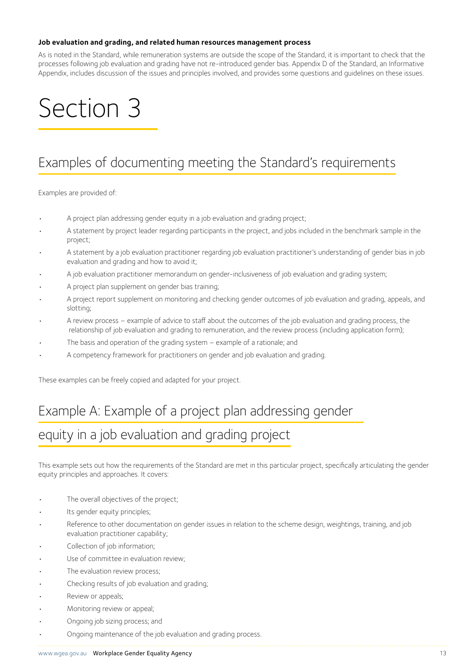#### **Job evaluation and grading, and related human resources management process**

As is noted in the Standard, while remuneration systems are outside the scope of the Standard, it is important to check that the processes following job evaluation and grading have not re-introduced gender bias. Appendix D of the Standard, an Informative Appendix, includes discussion of the issues and principles involved, and provides some questions and guidelines on these issues.

## Section 3

### Examples of documenting meeting the Standard's requirements

Examples are provided of:

- A project plan addressing gender equity in a job evaluation and grading project;
- A statement by project leader regarding participants in the project, and jobs included in the benchmark sample in the project;
- A statement by a job evaluation practitioner regarding job evaluation practitioner's understanding of gender bias in job evaluation and grading and how to avoid it;
- A job evaluation practitioner memorandum on gender-inclusiveness of job evaluation and grading system;
- A project plan supplement on gender bias training;
- A project report supplement on monitoring and checking gender outcomes of job evaluation and grading, appeals, and slotting;
- A review process example of advice to staff about the outcomes of the job evaluation and grading process, the relationship of job evaluation and grading to remuneration, and the review process (including application form);
- The basis and operation of the grading system example of a rationale; and
- A competency framework for practitioners on gender and job evaluation and grading.

These examples can be freely copied and adapted for your project.

## Example A: Example of a project plan addressing gender equity in a job evaluation and grading project

This example sets out how the requirements of the Standard are met in this particular project, specifically articulating the gender equity principles and approaches. It covers:

- The overall objectives of the project;
- Its gender equity principles;
- Reference to other documentation on gender issues in relation to the scheme design, weightings, training, and job evaluation practitioner capability;
- Collection of job information;
- Use of committee in evaluation review;
- The evaluation review process;
- Checking results of job evaluation and grading;
- Review or appeals;
- Monitoring review or appeal;
- Ongoing job sizing process; and
- Ongoing maintenance of the job evaluation and grading process.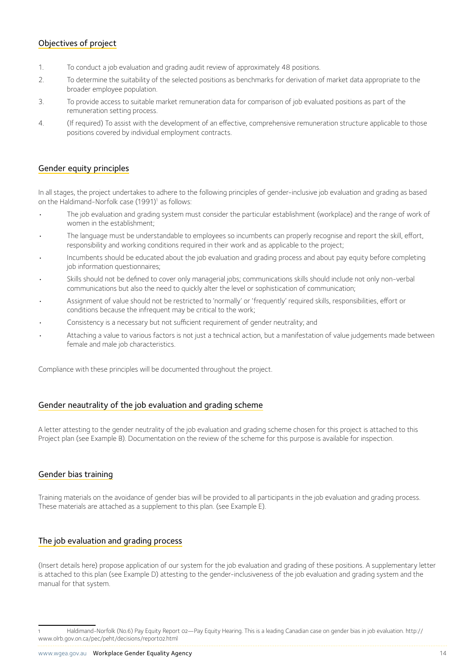### Objectives of project

- 1. To conduct a job evaluation and grading audit review of approximately 48 positions.
- 2. To determine the suitability of the selected positions as benchmarks for derivation of market data appropriate to the broader employee population.
- 3. To provide access to suitable market remuneration data for comparison of job evaluated positions as part of the remuneration setting process.
- 4. (If required) To assist with the development of an effective, comprehensive remuneration structure applicable to those positions covered by individual employment contracts.

### Gender equity principles

In all stages, the project undertakes to adhere to the following principles of gender-inclusive job evaluation and grading as based on the Haldimand-Norfolk case (1991)<sup>1</sup> as follows:

- The job evaluation and grading system must consider the particular establishment (workplace) and the range of work of women in the establishment;
- The language must be understandable to employees so incumbents can properly recognise and report the skill, effort, responsibility and working conditions required in their work and as applicable to the project;
- Incumbents should be educated about the job evaluation and grading process and about pay equity before completing job information questionnaires;
- Skills should not be defined to cover only managerial jobs; communications skills should include not only non-verbal communications but also the need to quickly alter the level or sophistication of communication;
- Assignment of value should not be restricted to 'normally' or 'frequently' required skills, responsibilities, effort or conditions because the infrequent may be critical to the work;
- Consistency is a necessary but not sufficient requirement of gender neutrality; and
- Attaching a value to various factors is not just a technical action, but a manifestation of value judgements made between female and male job characteristics.

Compliance with these principles will be documented throughout the project.

### Gender neautrality of the job evaluation and grading scheme

A letter attesting to the gender neutrality of the job evaluation and grading scheme chosen for this project is attached to this Project plan (see Example B). Documentation on the review of the scheme for this purpose is available for inspection.

### Gender bias training

Training materials on the avoidance of gender bias will be provided to all participants in the job evaluation and grading process. These materials are attached as a supplement to this plan. (see Example E).

### The job evaluation and grading process

(Insert details here) propose application of our system for the job evaluation and grading of these positions. A supplementary letter is attached to this plan (see Example D) attesting to the gender-inclusiveness of the job evaluation and grading system and the manual for that system.

<sup>1</sup> Haldimand-Norfolk (No.6) Pay Equity Report 02—Pay Equity Hearing. This is a leading Canadian case on gender bias in job evaluation. http:// www.olrb.gov.on.ca/pec/peht/decisions/report02.html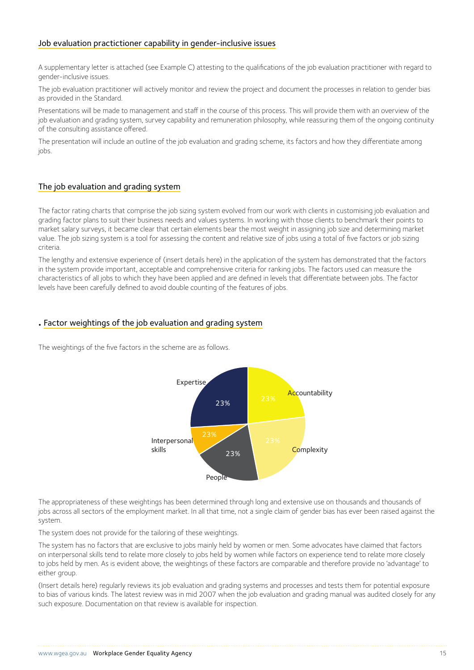### Job evaluation practictioner capability in gender-inclusive issues

A supplementary letter is attached (see Example C) attesting to the qualifications of the job evaluation practitioner with regard to gender-inclusive issues.

The job evaluation practitioner will actively monitor and review the project and document the processes in relation to gender bias as provided in the Standard.

Presentations will be made to management and staff in the course of this process. This will provide them with an overview of the job evaluation and grading system, survey capability and remuneration philosophy, while reassuring them of the ongoing continuity of the consulting assistance offered.

The presentation will include an outline of the job evaluation and grading scheme, its factors and how they differentiate among jobs.

### The job evaluation and grading system

The factor rating charts that comprise the job sizing system evolved from our work with clients in customising job evaluation and grading factor plans to suit their business needs and values systems. In working with those clients to benchmark their points to market salary surveys, it became clear that certain elements bear the most weight in assigning job size and determining market value. The job sizing system is a tool for assessing the content and relative size of jobs using a total of five factors or job sizing criteria.

The lengthy and extensive experience of (insert details here) in the application of the system has demonstrated that the factors in the system provide important, acceptable and comprehensive criteria for ranking jobs. The factors used can measure the characteristics of all jobs to which they have been applied and are defined in levels that differentiate between jobs. The factor levels have been carefully defined to avoid double counting of the features of jobs.

### **.** Factor weightings of the job evaluation and grading system

The weightings of the five factors in the scheme are as follows.



The appropriateness of these weightings has been determined through long and extensive use on thousands and thousands of jobs across all sectors of the employment market. In all that time, not a single claim of gender bias has ever been raised against the system.

The system does not provide for the tailoring of these weightings.

The system has no factors that are exclusive to jobs mainly held by women or men. Some advocates have claimed that factors on interpersonal skills tend to relate more closely to jobs held by women while factors on experience tend to relate more closely to jobs held by men. As is evident above, the weightings of these factors are comparable and therefore provide no 'advantage' to either group.

(Insert details here) regularly reviews its job evaluation and grading systems and processes and tests them for potential exposure to bias of various kinds. The latest review was in mid 2007 when the job evaluation and grading manual was audited closely for any such exposure. Documentation on that review is available for inspection.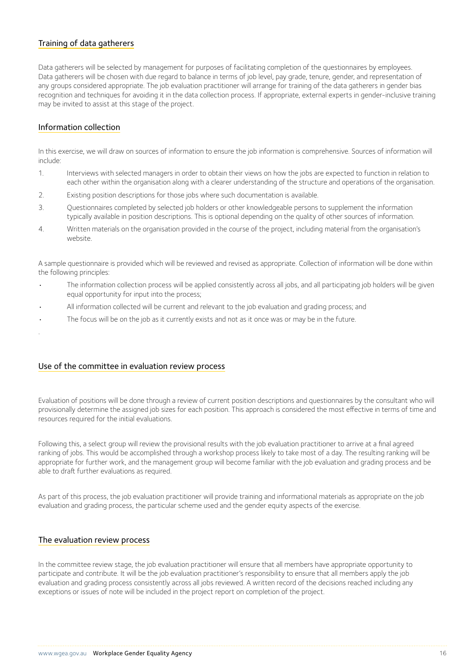### Training of data gatherers

Data gatherers will be selected by management for purposes of facilitating completion of the questionnaires by employees. Data gatherers will be chosen with due regard to balance in terms of job level, pay grade, tenure, gender, and representation of any groups considered appropriate. The job evaluation practitioner will arrange for training of the data gatherers in gender bias recognition and techniques for avoiding it in the data collection process. If appropriate, external experts in gender-inclusive training may be invited to assist at this stage of the project.

### Information collection

.

In this exercise, we will draw on sources of information to ensure the job information is comprehensive. Sources of information will include:

- 1. Interviews with selected managers in order to obtain their views on how the jobs are expected to function in relation to each other within the organisation along with a clearer understanding of the structure and operations of the organisation.
- 2. Existing position descriptions for those jobs where such documentation is available.
- 3. Questionnaires completed by selected job holders or other knowledgeable persons to supplement the information typically available in position descriptions. This is optional depending on the quality of other sources of information.
- 4. Written materials on the organisation provided in the course of the project, including material from the organisation's website.

A sample questionnaire is provided which will be reviewed and revised as appropriate. Collection of information will be done within the following principles:

- The information collection process will be applied consistently across all jobs, and all participating job holders will be given equal opportunity for input into the process;
- All information collected will be current and relevant to the job evaluation and grading process; and
- The focus will be on the job as it currently exists and not as it once was or may be in the future.

#### Use of the committee in evaluation review process

Evaluation of positions will be done through a review of current position descriptions and questionnaires by the consultant who will provisionally determine the assigned job sizes for each position. This approach is considered the most effective in terms of time and resources required for the initial evaluations.

Following this, a select group will review the provisional results with the job evaluation practitioner to arrive at a final agreed ranking of jobs. This would be accomplished through a workshop process likely to take most of a day. The resulting ranking will be appropriate for further work, and the management group will become familiar with the job evaluation and grading process and be able to draft further evaluations as required.

As part of this process, the job evaluation practitioner will provide training and informational materials as appropriate on the job evaluation and grading process, the particular scheme used and the gender equity aspects of the exercise.

#### The evaluation review process

In the committee review stage, the job evaluation practitioner will ensure that all members have appropriate opportunity to participate and contribute. It will be the job evaluation practitioner's responsibility to ensure that all members apply the job evaluation and grading process consistently across all jobs reviewed. A written record of the decisions reached including any exceptions or issues of note will be included in the project report on completion of the project.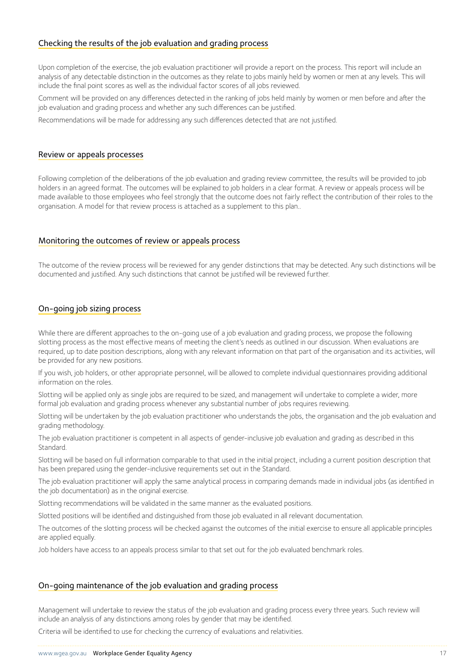### Checking the results of the job evaluation and grading process

Upon completion of the exercise, the job evaluation practitioner will provide a report on the process. This report will include an analysis of any detectable distinction in the outcomes as they relate to jobs mainly held by women or men at any levels. This will include the final point scores as well as the individual factor scores of all jobs reviewed.

Comment will be provided on any differences detected in the ranking of jobs held mainly by women or men before and after the job evaluation and grading process and whether any such differences can be justified.

Recommendations will be made for addressing any such differences detected that are not justified.

#### Review or appeals processes

Following completion of the deliberations of the job evaluation and grading review committee, the results will be provided to job holders in an agreed format. The outcomes will be explained to job holders in a clear format. A review or appeals process will be made available to those employees who feel strongly that the outcome does not fairly reflect the contribution of their roles to the organisation. A model for that review process is attached as a supplement to this plan..

### Monitoring the outcomes of review or appeals process

The outcome of the review process will be reviewed for any gender distinctions that may be detected. Any such distinctions will be documented and justified. Any such distinctions that cannot be justified will be reviewed further.

### On-going job sizing process

While there are different approaches to the on-going use of a job evaluation and grading process, we propose the following slotting process as the most effective means of meeting the client's needs as outlined in our discussion. When evaluations are required, up to date position descriptions, along with any relevant information on that part of the organisation and its activities, will be provided for any new positions.

If you wish, job holders, or other appropriate personnel, will be allowed to complete individual questionnaires providing additional information on the roles.

Slotting will be applied only as single jobs are required to be sized, and management will undertake to complete a wider, more formal job evaluation and grading process whenever any substantial number of jobs requires reviewing.

Slotting will be undertaken by the job evaluation practitioner who understands the jobs, the organisation and the job evaluation and grading methodology.

The job evaluation practitioner is competent in all aspects of gender-inclusive job evaluation and grading as described in this Standard.

Slotting will be based on full information comparable to that used in the initial project, including a current position description that has been prepared using the gender-inclusive requirements set out in the Standard.

The job evaluation practitioner will apply the same analytical process in comparing demands made in individual jobs (as identified in the job documentation) as in the original exercise.

Slotting recommendations will be validated in the same manner as the evaluated positions.

Slotted positions will be identified and distinguished from those job evaluated in all relevant documentation.

The outcomes of the slotting process will be checked against the outcomes of the initial exercise to ensure all applicable principles are applied equally.

Job holders have access to an appeals process similar to that set out for the job evaluated benchmark roles.

#### On-going maintenance of the job evaluation and grading process

Management will undertake to review the status of the job evaluation and grading process every three years. Such review will include an analysis of any distinctions among roles by gender that may be identified.

Criteria will be identified to use for checking the currency of evaluations and relativities.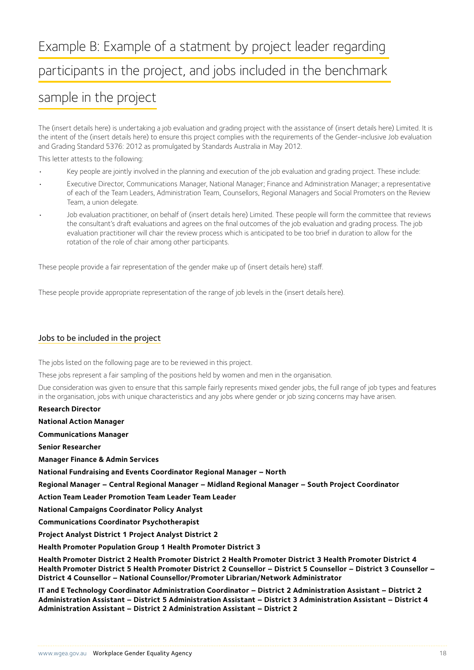## Example B: Example of a statment by project leader regarding participants in the project, and jobs included in the benchmark

### sample in the project

The (insert details here) is undertaking a job evaluation and grading project with the assistance of (insert details here) Limited. It is the intent of the (insert details here) to ensure this project complies with the requirements of the Gender-inclusive Job evaluation and Grading Standard 5376: 2012 as promulgated by Standards Australia in May 2012.

This letter attests to the following:

- Key people are jointly involved in the planning and execution of the job evaluation and grading project. These include:
- Executive Director, Communications Manager, National Manager; Finance and Administration Manager; a representative of each of the Team Leaders, Administration Team, Counsellors, Regional Managers and Social Promoters on the Review Team, a union delegate.
- Job evaluation practitioner, on behalf of (insert details here) Limited. These people will form the committee that reviews the consultant's draft evaluations and agrees on the final outcomes of the job evaluation and grading process. The job evaluation practitioner will chair the review process which is anticipated to be too brief in duration to allow for the rotation of the role of chair among other participants.

These people provide a fair representation of the gender make up of (insert details here) staff.

These people provide appropriate representation of the range of job levels in the (insert details here).

### Jobs to be included in the project

The jobs listed on the following page are to be reviewed in this project.

These jobs represent a fair sampling of the positions held by women and men in the organisation.

Due consideration was given to ensure that this sample fairly represents mixed gender jobs, the full range of job types and features in the organisation, jobs with unique characteristics and any jobs where gender or job sizing concerns may have arisen.

**Research Director National Action Manager** 

**Communications Manager** 

**Senior Researcher**

**Manager Finance & Admin Services**

**National Fundraising and Events Coordinator Regional Manager – North**

**Regional Manager – Central Regional Manager – Midland Regional Manager – South Project Coordinator**

**Action Team Leader Promotion Team Leader Team Leader**

**National Campaigns Coordinator Policy Analyst**

**Communications Coordinator Psychotherapist**

**Project Analyst District 1 Project Analyst District 2**

**Health Promoter Population Group 1 Health Promoter District 3**

**Health Promoter District 2 Health Promoter District 2 Health Promoter District 3 Health Promoter District 4 Health Promoter District 5 Health Promoter District 2 Counsellor – District 5 Counsellor – District 3 Counsellor – District 4 Counsellor – National Counsellor/Promoter Librarian/Network Administrator**

**IT and E Technology Coordinator Administration Coordinator – District 2 Administration Assistant – District 2 Administration Assistant – District 5 Administration Assistant – District 3 Administration Assistant – District 4 Administration Assistant – District 2 Administration Assistant – District 2**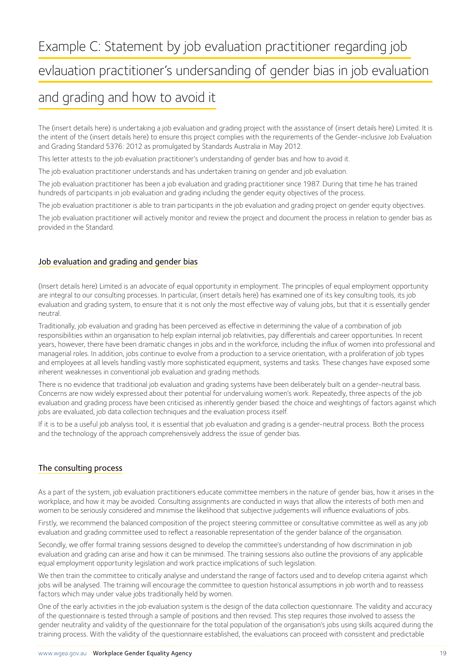evlauation practitioner's undersanding of gender bias in job evaluation

### and grading and how to avoid it

The (insert details here) is undertaking a job evaluation and grading project with the assistance of (insert details here) Limited. It is the intent of the (insert details here) to ensure this project complies with the requirements of the Gender-inclusive Job Evaluation and Grading Standard 5376: 2012 as promulgated by Standards Australia in May 2012.

This letter attests to the job evaluation practitioner's understanding of gender bias and how to avoid it.

The job evaluation practitioner understands and has undertaken training on gender and job evaluation.

The job evaluation practitioner has been a job evaluation and grading practitioner since 1987. During that time he has trained hundreds of participants in job evaluation and grading including the gender equity objectives of the process.

The job evaluation practitioner is able to train participants in the job evaluation and grading project on gender equity objectives.

The job evaluation practitioner will actively monitor and review the project and document the process in relation to gender bias as provided in the Standard.

### Job evaluation and grading and gender bias

(Insert details here) Limited is an advocate of equal opportunity in employment. The principles of equal employment opportunity are integral to our consulting processes. In particular, (insert details here) has examined one of its key consulting tools, its job evaluation and grading system, to ensure that it is not only the most effective way of valuing jobs, but that it is essentially gender neutral.

Traditionally, job evaluation and grading has been perceived as effective in determining the value of a combination of job responsibilities within an organisation to help explain internal job relativities, pay differentials and career opportunities. In recent years, however, there have been dramatic changes in jobs and in the workforce, including the influx of women into professional and managerial roles. In addition, jobs continue to evolve from a production to a service orientation, with a proliferation of job types and employees at all levels handling vastly more sophisticated equipment, systems and tasks. These changes have exposed some inherent weaknesses in conventional job evaluation and grading methods.

There is no evidence that traditional job evaluation and grading systems have been deliberately built on a gender-neutral basis. Concerns are now widely expressed about their potential for undervaluing women's work. Repeatedly, three aspects of the job evaluation and grading process have been criticised as inherently gender biased: the choice and weightings of factors against which jobs are evaluated, job data collection techniques and the evaluation process itself.

If it is to be a useful job analysis tool, it is essential that job evaluation and grading is a gender-neutral process. Both the process and the technology of the approach comprehensively address the issue of gender bias.

### The consulting process

As a part of the system, job evaluation practitioners educate committee members in the nature of gender bias, how it arises in the workplace, and how it may be avoided. Consulting assignments are conducted in ways that allow the interests of both men and women to be seriously considered and minimise the likelihood that subjective judgements will influence evaluations of jobs.

Firstly, we recommend the balanced composition of the project steering committee or consultative committee as well as any job evaluation and grading committee used to reflect a reasonable representation of the gender balance of the organisation.

Secondly, we offer formal training sessions designed to develop the committee's understanding of how discrimination in job evaluation and grading can arise and how it can be minimised. The training sessions also outline the provisions of any applicable equal employment opportunity legislation and work practice implications of such legislation.

We then train the committee to critically analyse and understand the range of factors used and to develop criteria against which jobs will be analysed. The training will encourage the committee to question historical assumptions in job worth and to reassess factors which may under value jobs traditionally held by women.

One of the early activities in the job evaluation system is the design of the data collection questionnaire. The validity and accuracy of the questionnaire is tested through a sample of positions and then revised. This step requires those involved to assess the gender neutrality and validity of the questionnaire for the total population of the organisation's jobs using skills acquired during the training process. With the validity of the questionnaire established, the evaluations can proceed with consistent and predictable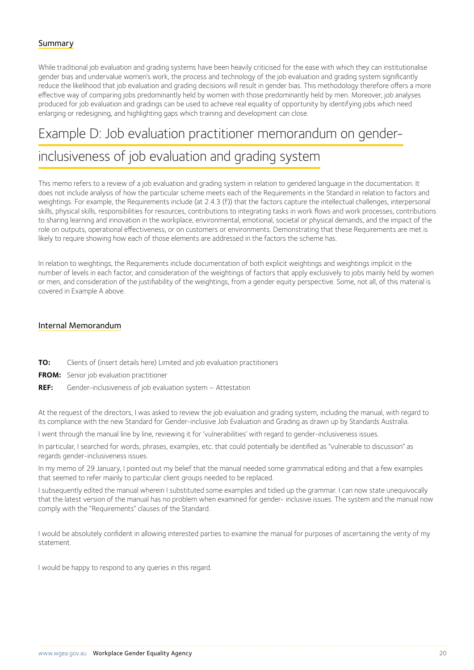### Summary

While traditional job evaluation and grading systems have been heavily criticised for the ease with which they can institutionalise gender bias and undervalue women's work, the process and technology of the job evaluation and grading system significantly reduce the likelihood that job evaluation and grading decisions will result in gender bias. This methodology therefore offers a more effective way of comparing jobs predominantly held by women with those predominantly held by men. Moreover, job analyses produced for job evaluation and gradings can be used to achieve real equality of opportunity by identifying jobs which need enlarging or redesigning, and highlighting gaps which training and development can close.

### Example D: Job evaluation practitioner memorandum on gender-

### inclusiveness of job evaluation and grading system

This memo refers to a review of a job evaluation and grading system in relation to gendered language in the documentation. It does not include analysis of how the particular scheme meets each of the Requirements in the Standard in relation to factors and weightings. For example, the Requirements include (at 2.4.3 (f)) that the factors capture the intellectual challenges, interpersonal skills, physical skills, responsibilities for resources, contributions to integrating tasks in work flows and work processes, contributions to sharing learning and innovation in the workplace, environmental, emotional, societal or physical demands, and the impact of the role on outputs, operational effectiveness, or on customers or environments. Demonstrating that these Requirements are met is likely to require showing how each of those elements are addressed in the factors the scheme has.

In relation to weightings, the Requirements include documentation of both explicit weightings and weightings implicit in the number of levels in each factor, and consideration of the weightings of factors that apply exclusively to jobs mainly held by women or men, and consideration of the justifiability of the weightings, from a gender equity perspective. Some, not all, of this material is covered in Example A above.

### Internal Memorandum

- **TO:** Clients of (insert details here) Limited and job evaluation practitioners
- **FROM:** Senior job evaluation practitioner
- **REF:** Gender-inclusiveness of job evaluation system Attestation

At the request of the directors, I was asked to review the job evaluation and grading system, including the manual, with regard to its compliance with the new Standard for Gender-inclusive Job Evaluation and Grading as drawn up by Standards Australia.

I went through the manual line by line, reviewing it for 'vulnerabilities' with regard to gender-inclusiveness issues.

In particular, I searched for words, phrases, examples, etc. that could potentially be identified as "vulnerable to discussion" as regards gender-inclusiveness issues.

In my memo of 29 January, I pointed out my belief that the manual needed some grammatical editing and that a few examples that seemed to refer mainly to particular client groups needed to be replaced.

I subsequently edited the manual wherein I substituted some examples and tidied up the grammar. I can now state unequivocally that the latest version of the manual has no problem when examined for gender- inclusive issues. The system and the manual now comply with the "Requirements" clauses of the Standard.

I would be absolutely confident in allowing interested parties to examine the manual for purposes of ascertaining the verity of my statement.

I would be happy to respond to any queries in this regard.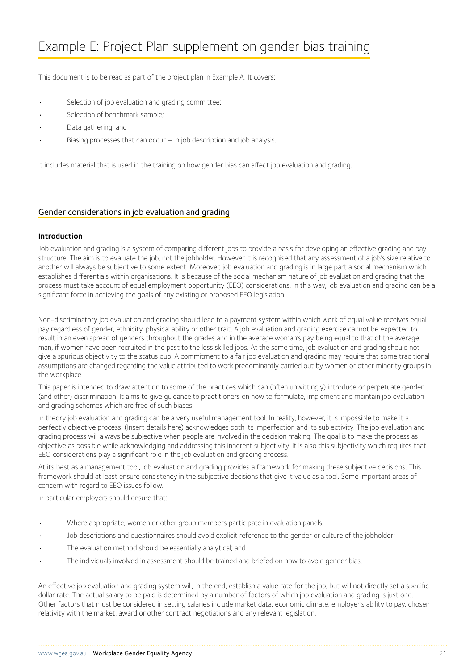This document is to be read as part of the project plan in Example A. It covers:

- Selection of job evaluation and grading committee;
- Selection of benchmark sample;
- Data gathering; and
- Biasing processes that can occur  $-$  in job description and job analysis.

It includes material that is used in the training on how gender bias can affect job evaluation and grading.

### Gender considerations in job evaluation and grading

### **Introduction**

Job evaluation and grading is a system of comparing different jobs to provide a basis for developing an effective grading and pay structure. The aim is to evaluate the job, not the jobholder. However it is recognised that any assessment of a job's size relative to another will always be subjective to some extent. Moreover, job evaluation and grading is in large part a social mechanism which establishes differentials within organisations. It is because of the social mechanism nature of job evaluation and grading that the process must take account of equal employment opportunity (EEO) considerations. In this way, job evaluation and grading can be a significant force in achieving the goals of any existing or proposed EEO legislation.

Non-discriminatory job evaluation and grading should lead to a payment system within which work of equal value receives equal pay regardless of gender, ethnicity, physical ability or other trait. A job evaluation and grading exercise cannot be expected to result in an even spread of genders throughout the grades and in the average woman's pay being equal to that of the average man, if women have been recruited in the past to the less skilled jobs. At the same time, job evaluation and grading should not give a spurious objectivity to the status quo. A commitment to a fair job evaluation and grading may require that some traditional assumptions are changed regarding the value attributed to work predominantly carried out by women or other minority groups in the workplace.

This paper is intended to draw attention to some of the practices which can (often unwittingly) introduce or perpetuate gender (and other) discrimination. It aims to give guidance to practitioners on how to formulate, implement and maintain job evaluation and grading schemes which are free of such biases.

In theory job evaluation and grading can be a very useful management tool. In reality, however, it is impossible to make it a perfectly objective process. (Insert details here) acknowledges both its imperfection and its subjectivity. The job evaluation and grading process will always be subjective when people are involved in the decision making. The goal is to make the process as objective as possible while acknowledging and addressing this inherent subjectivity. It is also this subjectivity which requires that EEO considerations play a significant role in the job evaluation and grading process.

At its best as a management tool, job evaluation and grading provides a framework for making these subjective decisions. This framework should at least ensure consistency in the subjective decisions that give it value as a tool. Some important areas of concern with regard to EEO issues follow.

In particular employers should ensure that:

- Where appropriate, women or other group members participate in evaluation panels;
- Job descriptions and questionnaires should avoid explicit reference to the gender or culture of the jobholder;
- The evaluation method should be essentially analytical; and
- The individuals involved in assessment should be trained and briefed on how to avoid gender bias.

An effective job evaluation and grading system will, in the end, establish a value rate for the job, but will not directly set a specific dollar rate. The actual salary to be paid is determined by a number of factors of which job evaluation and grading is just one. Other factors that must be considered in setting salaries include market data, economic climate, employer's ability to pay, chosen relativity with the market, award or other contract negotiations and any relevant legislation.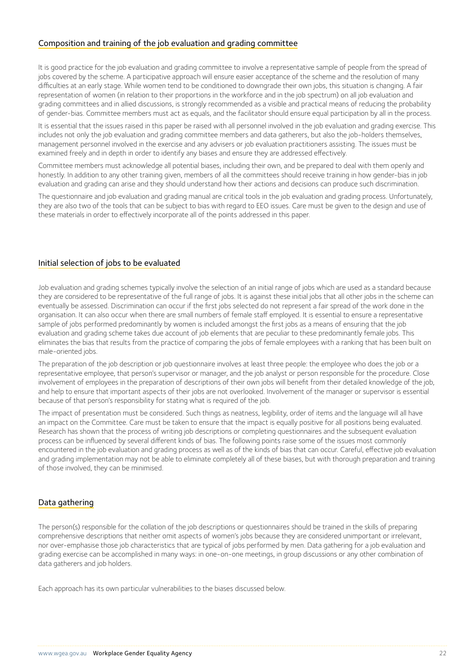### Composition and training of the job evaluation and grading committee

It is good practice for the job evaluation and grading committee to involve a representative sample of people from the spread of jobs covered by the scheme. A participative approach will ensure easier acceptance of the scheme and the resolution of many difficulties at an early stage. While women tend to be conditioned to downgrade their own jobs, this situation is changing. A fair representation of women (in relation to their proportions in the workforce and in the job spectrum) on all job evaluation and grading committees and in allied discussions, is strongly recommended as a visible and practical means of reducing the probability of gender-bias. Committee members must act as equals, and the facilitator should ensure equal participation by all in the process.

It is essential that the issues raised in this paper be raised with all personnel involved in the job evaluation and grading exercise. This includes not only the job evaluation and grading committee members and data gatherers, but also the job-holders themselves, management personnel involved in the exercise and any advisers or job evaluation practitioners assisting. The issues must be examined freely and in depth in order to identify any biases and ensure they are addressed effectively.

Committee members must acknowledge all potential biases, including their own, and be prepared to deal with them openly and honestly. In addition to any other training given, members of all the committees should receive training in how gender-bias in job evaluation and grading can arise and they should understand how their actions and decisions can produce such discrimination.

The questionnaire and job evaluation and grading manual are critical tools in the job evaluation and grading process. Unfortunately, they are also two of the tools that can be subject to bias with regard to EEO issues. Care must be given to the design and use of these materials in order to effectively incorporate all of the points addressed in this paper.

### Initial selection of jobs to be evaluated

Job evaluation and grading schemes typically involve the selection of an initial range of jobs which are used as a standard because they are considered to be representative of the full range of jobs. It is against these initial jobs that all other jobs in the scheme can eventually be assessed. Discrimination can occur if the first jobs selected do not represent a fair spread of the work done in the organisation. It can also occur when there are small numbers of female staff employed. It is essential to ensure a representative sample of jobs performed predominantly by women is included amongst the first jobs as a means of ensuring that the job evaluation and grading scheme takes due account of job elements that are peculiar to these predominantly female jobs. This eliminates the bias that results from the practice of comparing the jobs of female employees with a ranking that has been built on male-oriented jobs.

The preparation of the job description or job questionnaire involves at least three people: the employee who does the job or a representative employee, that person's supervisor or manager, and the job analyst or person responsible for the procedure. Close involvement of employees in the preparation of descriptions of their own jobs will benefit from their detailed knowledge of the job, and help to ensure that important aspects of their jobs are not overlooked. Involvement of the manager or supervisor is essential because of that person's responsibility for stating what is required of the job.

The impact of presentation must be considered. Such things as neatness, legibility, order of items and the language will all have an impact on the Committee. Care must be taken to ensure that the impact is equally positive for all positions being evaluated. Research has shown that the process of writing job descriptions or completing questionnaires and the subsequent evaluation process can be influenced by several different kinds of bias. The following points raise some of the issues most commonly encountered in the job evaluation and grading process as well as of the kinds of bias that can occur. Careful, effective job evaluation and grading implementation may not be able to eliminate completely all of these biases, but with thorough preparation and training of those involved, they can be minimised.

### Data gathering

The person(s) responsible for the collation of the job descriptions or questionnaires should be trained in the skills of preparing comprehensive descriptions that neither omit aspects of women's jobs because they are considered unimportant or irrelevant, nor over-emphasise those job characteristics that are typical of jobs performed by men. Data gathering for a job evaluation and grading exercise can be accomplished in many ways: in one-on-one meetings, in group discussions or any other combination of data gatherers and job holders.

Each approach has its own particular vulnerabilities to the biases discussed below.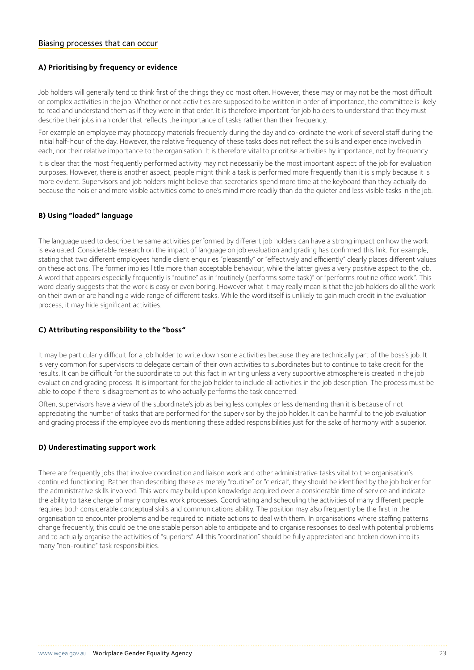#### Biasing processes that can occur

#### **A) Prioritising by frequency or evidence**

Job holders will generally tend to think first of the things they do most often. However, these may or may not be the most difficult or complex activities in the job. Whether or not activities are supposed to be written in order of importance, the committee is likely to read and understand them as if they were in that order. It is therefore important for job holders to understand that they must describe their jobs in an order that reflects the importance of tasks rather than their frequency.

For example an employee may photocopy materials frequently during the day and co-ordinate the work of several staff during the initial half-hour of the day. However, the relative frequency of these tasks does not reflect the skills and experience involved in each, nor their relative importance to the organisation. It is therefore vital to prioritise activities by importance, not by frequency.

It is clear that the most frequently performed activity may not necessarily be the most important aspect of the job for evaluation purposes. However, there is another aspect, people might think a task is performed more frequently than it is simply because it is more evident. Supervisors and job holders might believe that secretaries spend more time at the keyboard than they actually do because the noisier and more visible activities come to one's mind more readily than do the quieter and less visible tasks in the job.

#### **B) Using "loaded" language**

The language used to describe the same activities performed by different job holders can have a strong impact on how the work is evaluated. Considerable research on the impact of language on job evaluation and grading has confirmed this link. For example, stating that two different employees handle client enquiries "pleasantly" or "effectively and efficiently" clearly places different values on these actions. The former implies little more than acceptable behaviour, while the latter gives a very positive aspect to the job. A word that appears especially frequently is "routine" as in "routinely (performs some task)" or "performs routine office work". This word clearly suggests that the work is easy or even boring. However what it may really mean is that the job holders do all the work on their own or are handling a wide range of different tasks. While the word itself is unlikely to gain much credit in the evaluation process, it may hide significant activities.

#### **C) Attributing responsibility to the "boss"**

It may be particularly difficult for a job holder to write down some activities because they are technically part of the boss's job. It is very common for supervisors to delegate certain of their own activities to subordinates but to continue to take credit for the results. It can be difficult for the subordinate to put this fact in writing unless a very supportive atmosphere is created in the job evaluation and grading process. It is important for the job holder to include all activities in the job description. The process must be able to cope if there is disagreement as to who actually performs the task concerned.

Often, supervisors have a view of the subordinate's job as being less complex or less demanding than it is because of not appreciating the number of tasks that are performed for the supervisor by the job holder. It can be harmful to the job evaluation and grading process if the employee avoids mentioning these added responsibilities just for the sake of harmony with a superior.

#### **D) Underestimating support work**

There are frequently jobs that involve coordination and liaison work and other administrative tasks vital to the organisation's continued functioning. Rather than describing these as merely "routine" or "clerical", they should be identified by the job holder for the administrative skills involved. This work may build upon knowledge acquired over a considerable time of service and indicate the ability to take charge of many complex work processes. Coordinating and scheduling the activities of many different people requires both considerable conceptual skills and communications ability. The position may also frequently be the first in the organisation to encounter problems and be required to initiate actions to deal with them. In organisations where staffing patterns change frequently, this could be the one stable person able to anticipate and to organise responses to deal with potential problems and to actually organise the activities of "superiors". All this "coordination" should be fully appreciated and broken down into its many "non-routine" task responsibilities.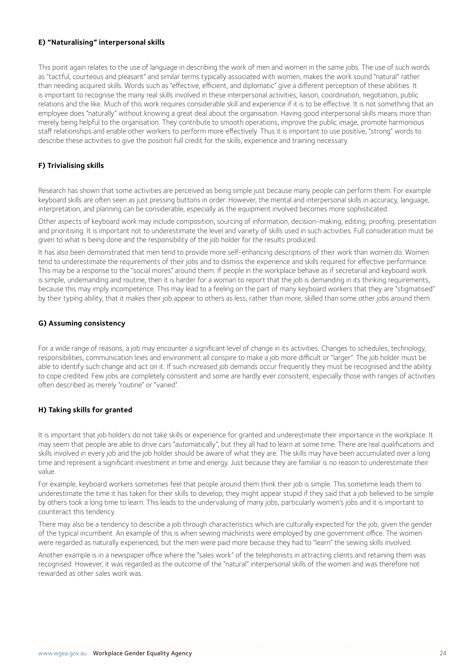#### **E) "Naturalising" interpersonal skills**

This point again relates to the use of language in describing the work of men and women in the same jobs. The use of such words as "tactful, courteous and pleasant" and similar terms typically associated with women, makes the work sound "natural" rather than needing acquired skills. Words such as "effective, efficient, and diplomatic" give a different perception of these abilities. It is important to recognise the many real skills involved in these interpersonal activities; liaison, coordination, negotiation, public relations and the like. Much of this work requires considerable skill and experience if it is to be effective. It is not something that an employee does "naturally" without knowing a great deal about the organisation. Having good interpersonal skills means more than merely being helpful to the organisation. They contribute to smooth operations, improve the public image, promote harmonious staff relationships and enable other workers to perform more effectively. Thus it is important to use positive, "strong" words to describe these activities to give the position full credit for the skills, experience and training necessary.

### **F) Trivialising skills**

Research has shown that some activities are perceived as being simple just because many people can perform them. For example keyboard skills are often seen as just pressing buttons in order. However, the mental and interpersonal skills in accuracy, language, interpretation, and planning can be considerable, especially as the equipment involved becomes more sophisticated.

Other aspects of keyboard work may include composition, sourcing of information, decision-making, editing, proofing, presentation and prioritising. It is important not to underestimate the level and variety of skills used in such activities. Full consideration must be given to what is being done and the responsibility of the job holder for the results produced.

It has also been demonstrated that men tend to provide more self-enhancing descriptions of their work than women do. Women tend to underestimate the requirements of their jobs and to dismiss the experience and skills required for effective performance. This may be a response to the "social mores" around them. If people in the workplace behave as if secretarial and keyboard work is simple, undemanding and routine, then it is harder for a woman to report that the job is demanding in its thinking requirements, because this may imply incompetence. This may lead to a feeling on the part of many keyboard workers that they are "stigmatised" by their typing ability, that it makes their job appear to others as less, rather than more, skilled than some other jobs around them.

#### **G) Assuming consistency**

For a wide range of reasons, a job may encounter a significant level of change in its activities. Changes to schedules, technology, responsibilities, communication lines and environment all conspire to make a job more difficult or "larger". The job holder must be able to identify such change and act on it. If such increased job demands occur frequently they must be recognised and the ability to cope credited. Few jobs are completely consistent and some are hardly ever consistent, especially those with ranges of activities often described as merely "routine" or "varied".

### **H) Taking skills for granted**

It is important that job holders do not take skills or experience for granted and underestimate their importance in the workplace. It may seem that people are able to drive cars "automatically", but they all had to learn at some time. There are real qualifications and skills involved in every job and the job holder should be aware of what they are. The skills may have been accumulated over a long time and represent a significant investment in time and energy. Just because they are familiar is no reason to underestimate their value.

For example, keyboard workers sometimes feel that people around them think their job is simple. This sometime leads them to underestimate the time it has taken for their skills to develop, they might appear stupid if they said that a job believed to be simple by others took a long time to learn. This leads to the undervaluing of many jobs, particularly women's jobs and it is important to counteract this tendency.

There may also be a tendency to describe a job through characteristics which are culturally expected for the job, given the gender of the typical incumbent. An example of this is when sewing machinists were employed by one government office. The women were regarded as naturally experienced, but the men were paid more because they had to "learn" the sewing skills involved.

Another example is in a newspaper office where the "sales work" of the telephonists in attracting clients and retaining them was recognised. However, it was regarded as the outcome of the "natural" interpersonal skills of the women and was therefore not rewarded as other sales work was.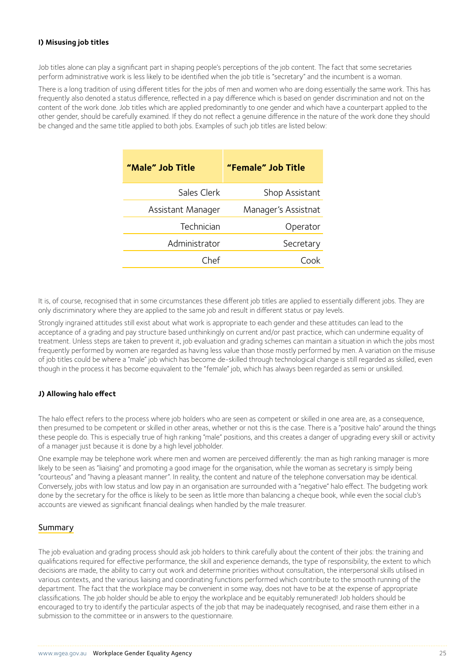### **I) Misusing job titles**

Job titles alone can play a significant part in shaping people's perceptions of the job content. The fact that some secretaries perform administrative work is less likely to be identified when the job title is "secretary" and the incumbent is a woman.

There is a long tradition of using different titles for the jobs of men and women who are doing essentially the same work. This has frequently also denoted a status difference, reflected in a pay difference which is based on gender discrimination and not on the content of the work done. Job titles which are applied predominantly to one gender and which have a counterpart applied to the other gender, should be carefully examined. If they do not reflect a genuine difference in the nature of the work done they should be changed and the same title applied to both jobs. Examples of such job titles are listed below:

| Shop Assistant      |
|---------------------|
| Manager's Assistnat |
| Operator            |
| Secretary           |
|                     |
|                     |

It is, of course, recognised that in some circumstances these different job titles are applied to essentially different jobs. They are only discriminatory where they are applied to the same job and result in different status or pay levels.

Strongly ingrained attitudes still exist about what work is appropriate to each gender and these attitudes can lead to the acceptance of a grading and pay structure based unthinkingly on current and/or past practice, which can undermine equality of treatment. Unless steps are taken to prevent it, job evaluation and grading schemes can maintain a situation in which the jobs most frequently performed by women are regarded as having less value than those mostly performed by men. A variation on the misuse of job titles could be where a "male" job which has become de-skilled through technological change is still regarded as skilled, even though in the process it has become equivalent to the "female" job, which has always been regarded as semi or unskilled.

#### **J) Allowing halo effect**

The halo effect refers to the process where job holders who are seen as competent or skilled in one area are, as a consequence, then presumed to be competent or skilled in other areas, whether or not this is the case. There is a "positive halo" around the things these people do. This is especially true of high ranking "male" positions, and this creates a danger of upgrading every skill or activity of a manager just because it is done by a high level jobholder.

One example may be telephone work where men and women are perceived differently: the man as high ranking manager is more likely to be seen as "liaising" and promoting a good image for the organisation, while the woman as secretary is simply being "courteous" and "having a pleasant manner". In reality, the content and nature of the telephone conversation may be identical. Conversely, jobs with low status and low pay in an organisation are surrounded with a "negative" halo effect. The budgeting work done by the secretary for the office is likely to be seen as little more than balancing a cheque book, while even the social club's accounts are viewed as significant financial dealings when handled by the male treasurer.

### Summary

The job evaluation and grading process should ask job holders to think carefully about the content of their jobs: the training and qualifications required for effective performance, the skill and experience demands, the type of responsibility, the extent to which decisions are made, the ability to carry out work and determine priorities without consultation, the interpersonal skills utilised in various contexts, and the various liaising and coordinating functions performed which contribute to the smooth running of the department. The fact that the workplace may be convenient in some way, does not have to be at the expense of appropriate classifications. The job holder should be able to enjoy the workplace and be equitably remunerated! Job holders should be encouraged to try to identify the particular aspects of the job that may be inadequately recognised, and raise them either in a submission to the committee or in answers to the questionnaire.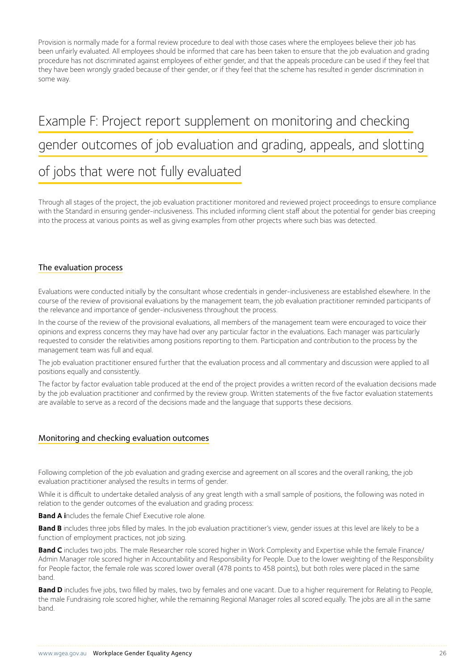Provision is normally made for a formal review procedure to deal with those cases where the employees believe their job has been unfairly evaluated. All employees should be informed that care has been taken to ensure that the job evaluation and grading procedure has not discriminated against employees of either gender, and that the appeals procedure can be used if they feel that they have been wrongly graded because of their gender, or if they feel that the scheme has resulted in gender discrimination in some way.

## Example F: Project report supplement on monitoring and checking gender outcomes of job evaluation and grading, appeals, and slotting

### of jobs that were not fully evaluated

Through all stages of the project, the job evaluation practitioner monitored and reviewed project proceedings to ensure compliance with the Standard in ensuring gender-inclusiveness. This included informing client staff about the potential for gender bias creeping into the process at various points as well as giving examples from other projects where such bias was detected.

### The evaluation process

Evaluations were conducted initially by the consultant whose credentials in gender-inclusiveness are established elsewhere. In the course of the review of provisional evaluations by the management team, the job evaluation practitioner reminded participants of the relevance and importance of gender-inclusiveness throughout the process.

In the course of the review of the provisional evaluations, all members of the management team were encouraged to voice their opinions and express concerns they may have had over any particular factor in the evaluations. Each manager was particularly requested to consider the relativities among positions reporting to them. Participation and contribution to the process by the management team was full and equal.

The job evaluation practitioner ensured further that the evaluation process and all commentary and discussion were applied to all positions equally and consistently.

The factor by factor evaluation table produced at the end of the project provides a written record of the evaluation decisions made by the job evaluation practitioner and confirmed by the review group. Written statements of the five factor evaluation statements are available to serve as a record of the decisions made and the language that supports these decisions.

### Monitoring and checking evaluation outcomes

Following completion of the job evaluation and grading exercise and agreement on all scores and the overall ranking, the job evaluation practitioner analysed the results in terms of gender.

While it is difficult to undertake detailed analysis of any great length with a small sample of positions, the following was noted in relation to the gender outcomes of the evaluation and grading process:

**Band A i**ncludes the female Chief Executive role alone.

Band B includes three jobs filled by males. In the job evaluation practitioner's view, gender issues at this level are likely to be a function of employment practices, not job sizing.

**Band C** includes two jobs. The male Researcher role scored higher in Work Complexity and Expertise while the female Finance/ Admin Manager role scored higher in Accountability and Responsibility for People. Due to the lower weighting of the Responsibility for People factor, the female role was scored lower overall (478 points to 458 points), but both roles were placed in the same band.

**Band D** includes five jobs, two filled by males, two by females and one vacant. Due to a higher requirement for Relating to People, the male Fundraising role scored higher, while the remaining Regional Manager roles all scored equally. The jobs are all in the same band.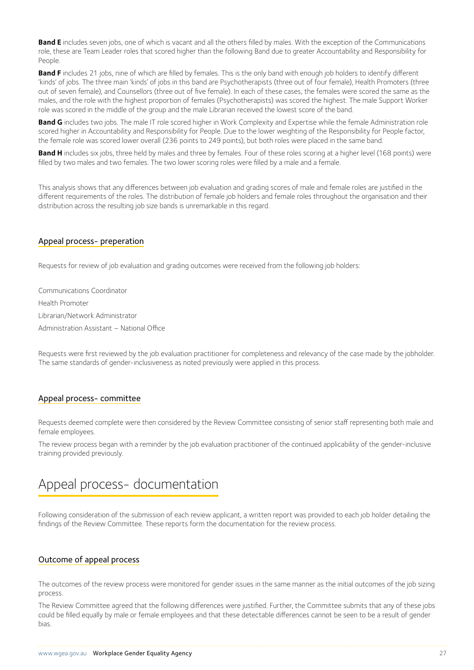**Band E** includes seven jobs, one of which is vacant and all the others filled by males. With the exception of the Communications role, these are Team Leader roles that scored higher than the following Band due to greater Accountability and Responsibility for People.

**Band F** includes 21 jobs, nine of which are filled by females. This is the only band with enough job holders to identify different 'kinds' of jobs. The three main 'kinds' of jobs in this band are Psychotherapists (three out of four female), Health Promoters (three out of seven female), and Counsellors (three out of five female). In each of these cases, the females were scored the same as the males, and the role with the highest proportion of females (Psychotherapists) was scored the highest. The male Support Worker role was scored in the middle of the group and the male Librarian received the lowest score of the band.

**Band G** includes two jobs. The male IT role scored higher in Work Complexity and Expertise while the female Administration role scored higher in Accountability and Responsibility for People. Due to the lower weighting of the Responsibility for People factor, the female role was scored lower overall (236 points to 249 points), but both roles were placed in the same band.

**Band H** includes six jobs, three held by males and three by females. Four of these roles scoring at a higher level (168 points) were filled by two males and two females. The two lower scoring roles were filled by a male and a female.

This analysis shows that any differences between job evaluation and grading scores of male and female roles are justified in the different requirements of the roles. The distribution of female job holders and female roles throughout the organisation and their distribution across the resulting job size bands is unremarkable in this regard.

### Appeal process- preperation

Requests for review of job evaluation and grading outcomes were received from the following job holders:

Communications Coordinator Health Promoter Librarian/Network Administrator Administration Assistant – National Office

Requests were first reviewed by the job evaluation practitioner for completeness and relevancy of the case made by the jobholder. The same standards of gender-inclusiveness as noted previously were applied in this process.

### Appeal process- committee

Requests deemed complete were then considered by the Review Committee consisting of senior staff representing both male and female employees.

The review process began with a reminder by the job evaluation practitioner of the continued applicability of the gender-inclusive training provided previously.

### Appeal process- documentation

Following consideration of the submission of each review applicant, a written report was provided to each job holder detailing the findings of the Review Committee. These reports form the documentation for the review process.

#### Outcome of appeal process

The outcomes of the review process were monitored for gender issues in the same manner as the initial outcomes of the job sizing process.

The Review Committee agreed that the following differences were justified. Further, the Committee submits that any of these jobs could be filled equally by male or female employees and that these detectable differences cannot be seen to be a result of gender bias.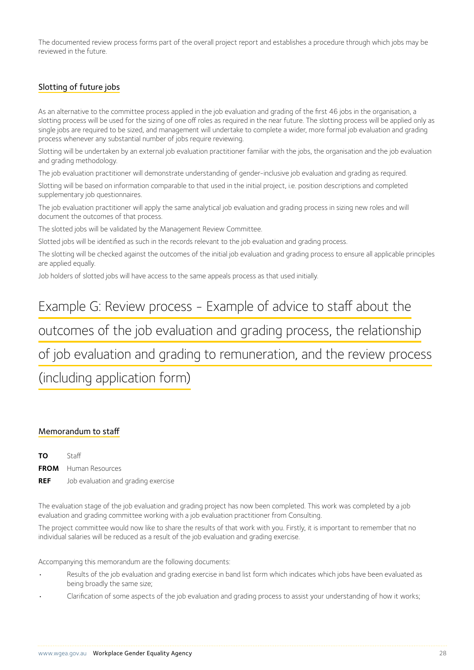The documented review process forms part of the overall project report and establishes a procedure through which jobs may be reviewed in the future.

### Slotting of future jobs

As an alternative to the committee process applied in the job evaluation and grading of the first 46 jobs in the organisation, a slotting process will be used for the sizing of one off roles as required in the near future. The slotting process will be applied only as single jobs are required to be sized, and management will undertake to complete a wider, more formal job evaluation and grading process whenever any substantial number of jobs require reviewing.

Slotting will be undertaken by an external job evaluation practitioner familiar with the jobs, the organisation and the job evaluation and grading methodology.

The job evaluation practitioner will demonstrate understanding of gender-inclusive job evaluation and grading as required.

Slotting will be based on information comparable to that used in the initial project, i.e. position descriptions and completed supplementary job questionnaires.

The job evaluation practitioner will apply the same analytical job evaluation and grading process in sizing new roles and will document the outcomes of that process.

The slotted jobs will be validated by the Management Review Committee.

Slotted jobs will be identified as such in the records relevant to the job evaluation and grading process.

The slotting will be checked against the outcomes of the initial job evaluation and grading process to ensure all applicable principles are applied equally.

Job holders of slotted jobs will have access to the same appeals process as that used initially.

### Example G: Review process - Example of advice to staff about the

### outcomes of the job evaluation and grading process, the relationship

### of job evaluation and grading to remuneration, and the review process

### (including application form)

### Memorandum to staff

**TO** Staff **FROM** Human Resources **REF** Job evaluation and grading exercise

The evaluation stage of the job evaluation and grading project has now been completed. This work was completed by a job evaluation and grading committee working with a job evaluation practitioner from Consulting.

The project committee would now like to share the results of that work with you. Firstly, it is important to remember that no individual salaries will be reduced as a result of the job evaluation and grading exercise.

Accompanying this memorandum are the following documents:

- Results of the job evaluation and grading exercise in band list form which indicates which jobs have been evaluated as being broadly the same size;
- Clarification of some aspects of the job evaluation and grading process to assist your understanding of how it works;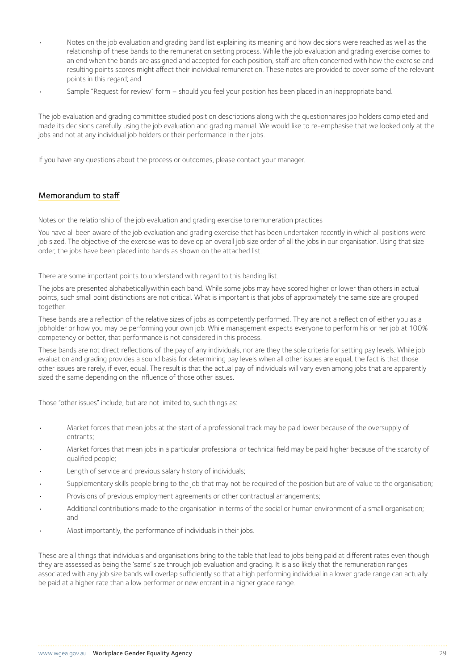- Notes on the job evaluation and grading band list explaining its meaning and how decisions were reached as well as the relationship of these bands to the remuneration setting process. While the job evaluation and grading exercise comes to an end when the bands are assigned and accepted for each position, staff are often concerned with how the exercise and resulting points scores might affect their individual remuneration. These notes are provided to cover some of the relevant points in this regard; and
- Sample "Request for review" form should you feel your position has been placed in an inappropriate band.

The job evaluation and grading committee studied position descriptions along with the questionnaires job holders completed and made its decisions carefully using the job evaluation and grading manual. We would like to re-emphasise that we looked only at the jobs and not at any individual job holders or their performance in their jobs.

If you have any questions about the process or outcomes, please contact your manager.

### Memorandum to staff

Notes on the relationship of the job evaluation and grading exercise to remuneration practices

You have all been aware of the job evaluation and grading exercise that has been undertaken recently in which all positions were job sized. The objective of the exercise was to develop an overall job size order of all the jobs in our organisation. Using that size order, the jobs have been placed into bands as shown on the attached list.

There are some important points to understand with regard to this banding list.

The jobs are presented alphabeticallywithin each band. While some jobs may have scored higher or lower than others in actual points, such small point distinctions are not critical. What is important is that jobs of approximately the same size are grouped together.

These bands are a reflection of the relative sizes of jobs as competently performed. They are not a reflection of either you as a jobholder or how you may be performing your own job. While management expects everyone to perform his or her job at 100% competency or better, that performance is not considered in this process.

These bands are not direct reflections of the pay of any individuals, nor are they the sole criteria for setting pay levels. While job evaluation and grading provides a sound basis for determining pay levels when all other issues are equal, the fact is that those other issues are rarely, if ever, equal. The result is that the actual pay of individuals will vary even among jobs that are apparently sized the same depending on the influence of those other issues.

Those "other issues" include, but are not limited to, such things as:

- Market forces that mean jobs at the start of a professional track may be paid lower because of the oversupply of entrants;
- Market forces that mean jobs in a particular professional or technical field may be paid higher because of the scarcity of qualified people;
- Length of service and previous salary history of individuals;
- Supplementary skills people bring to the job that may not be required of the position but are of value to the organisation;
- Provisions of previous employment agreements or other contractual arrangements;
- Additional contributions made to the organisation in terms of the social or human environment of a small organisation; and
- Most importantly, the performance of individuals in their jobs.

These are all things that individuals and organisations bring to the table that lead to jobs being paid at different rates even though they are assessed as being the 'same' size through job evaluation and grading. It is also likely that the remuneration ranges associated with any job size bands will overlap sufficiently so that a high performing individual in a lower grade range can actually be paid at a higher rate than a low performer or new entrant in a higher grade range.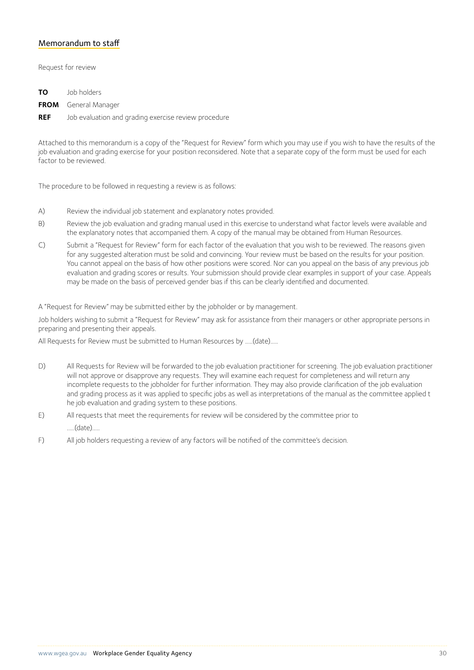### Memorandum to staff

Request for review

| <b>TO</b> Job holders                                           |
|-----------------------------------------------------------------|
| <b>FROM</b> General Manager                                     |
| <b>REF</b> Job evaluation and grading exercise review procedure |

Attached to this memorandum is a copy of the "Request for Review" form which you may use if you wish to have the results of the job evaluation and grading exercise for your position reconsidered. Note that a separate copy of the form must be used for each factor to be reviewed.

The procedure to be followed in requesting a review is as follows:

- A) Review the individual job statement and explanatory notes provided.
- B) Review the job evaluation and grading manual used in this exercise to understand what factor levels were available and the explanatory notes that accompanied them. A copy of the manual may be obtained from Human Resources.
- C) Submit a "Request for Review" form for each factor of the evaluation that you wish to be reviewed. The reasons given for any suggested alteration must be solid and convincing. Your review must be based on the results for your position. You cannot appeal on the basis of how other positions were scored. Nor can you appeal on the basis of any previous job evaluation and grading scores or results. Your submission should provide clear examples in support of your case. Appeals may be made on the basis of perceived gender bias if this can be clearly identified and documented.

A "Request for Review" may be submitted either by the jobholder or by management.

Job holders wishing to submit a "Request for Review" may ask for assistance from their managers or other appropriate persons in preparing and presenting their appeals.

All Requests for Review must be submitted to Human Resources by .....(date).....

- D) All Requests for Review will be forwarded to the job evaluation practitioner for screening. The job evaluation practitioner will not approve or disapprove any requests. They will examine each request for completeness and will return any incomplete requests to the jobholder for further information. They may also provide clarification of the job evaluation and grading process as it was applied to specific jobs as well as interpretations of the manual as the committee applied t he job evaluation and grading system to these positions.
- E) All requests that meet the requirements for review will be considered by the committee prior to .....(date).....
- F) All job holders requesting a review of any factors will be notified of the committee's decision.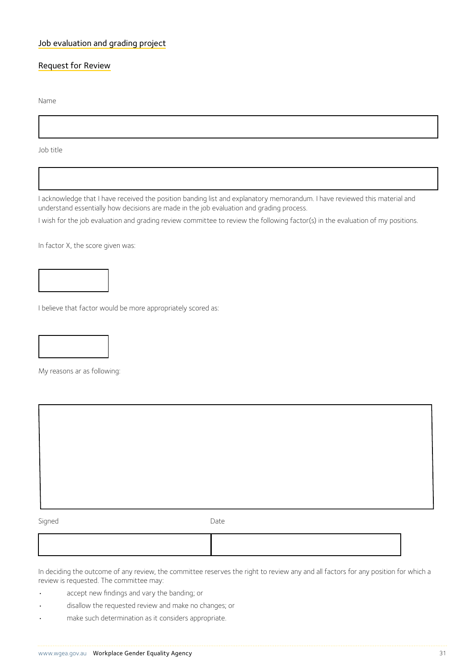### Job evaluation and grading project

### Request for Review

Name

Job title

I acknowledge that I have received the position banding list and explanatory memorandum. I have reviewed this material and understand essentially how decisions are made in the job evaluation and grading process.

I wish for the job evaluation and grading review committee to review the following factor(s) in the evaluation of my positions.

In factor X, the score given was:

I believe that factor would be more appropriately scored as:

My reasons ar as following:

Signed Date Date

In deciding the outcome of any review, the committee reserves the right to review any and all factors for any position for which a review is requested. The committee may:

- accept new findings and vary the banding; or
- disallow the requested review and make no changes; or
- make such determination as it considers appropriate.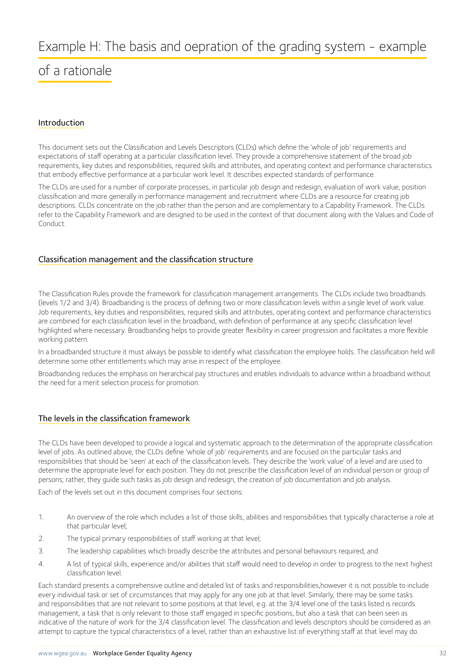### of a rationale

### Introduction

This document sets out the Classification and Levels Descriptors (CLDs) which define the 'whole of job' requirements and expectations of staff operating at a particular classification level. They provide a comprehensive statement of the broad job requirements, key duties and responsibilities, required skills and attributes, and operating context and performance characteristics that embody effective performance at a particular work level. It describes expected standards of performance.

The CLDs are used for a number of corporate processes, in particular job design and redesign, evaluation of work value, position classification and more generally in performance management and recruitment where CLDs are a resource for creating job descriptions. CLDs concentrate on the job rather than the person and are complementary to a Capability Framework. The CLDs refer to the Capability Framework and are designed to be used in the context of that document along with the Values and Code of Conduct.

### Classification management and the classification structure

The Classification Rules provide the framework for classification management arrangements. The CLDs include two broadbands (levels 1/2 and 3/4). Broadbanding is the process of defining two or more classification levels within a single level of work value. Job requirements, key duties and responsibilities, required skills and attributes, operating context and performance characteristics are combined for each classification level in the broadband, with definition of performance at any specific classification level highlighted where necessary. Broadbanding helps to provide greater flexibility in career progression and facilitates a more flexible working pattern.

In a broadbanded structure it must always be possible to identify what classification the employee holds. The classification held will determine some other entitlements which may arise in respect of the employee.

Broadbanding reduces the emphasis on hierarchical pay structures and enables individuals to advance within a broadband without the need for a merit selection process for promotion.

### The levels in the classification framework

The CLDs have been developed to provide a logical and systematic approach to the determination of the appropriate classification level of jobs. As outlined above, the CLDs define 'whole of job' requirements and are focused on the particular tasks and responsibilities that should be 'seen' at each of the classification levels. They describe the 'work value' of a level and are used to determine the appropriate level for each position. They do not prescribe the classification level of an individual person or group of persons; rather, they guide such tasks as job design and redesign, the creation of job documentation and job analysis.

Each of the levels set out in this document comprises four sections:

- 1. An overview of the role which includes a list of those skills, abilities and responsibilities that typically characterise a role at that particular level;
- 2. The typical primary responsibilities of staff working at that level;
- 3. The leadership capabilities which broadly describe the attributes and personal behaviours required; and
- 4. A list of typical skills, experience and/or abilities that staff would need to develop in order to progress to the next highest classification level.

Each standard presents a comprehensive outline and detailed list of tasks and responsibilities,however it is not possible to include every individual task or set of circumstances that may apply for any one job at that level. Similarly, there may be some tasks and responsibilities that are not relevant to some positions at that level, e.g. at the 3/4 level one of the tasks listed is records management, a task that is only relevant to those staff engaged in specific positions, but also a task that can been seen as indicative of the nature of work for the 3/4 classification level. The classification and levels descriptors should be considered as an attempt to capture the typical characteristics of a level, rather than an exhaustive list of everything staff at that level may do.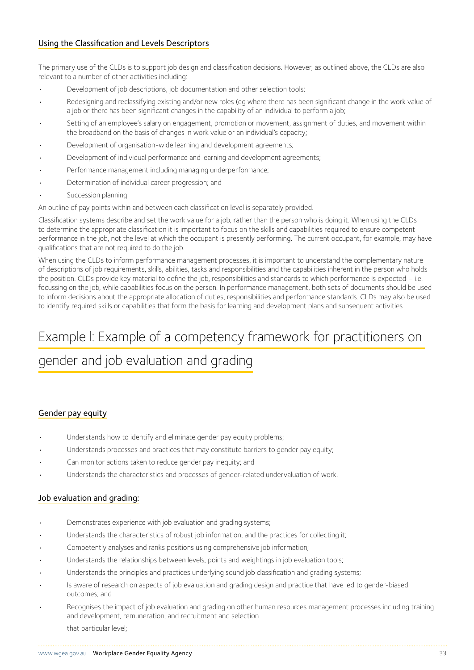### Using the Classification and Levels Descriptors

The primary use of the CLDs is to support job design and classification decisions. However, as outlined above, the CLDs are also relevant to a number of other activities including:

- Development of job descriptions, job documentation and other selection tools;
- Redesigning and reclassifying existing and/or new roles (eg where there has been significant change in the work value of a job or there has been significant changes in the capability of an individual to perform a job;
- Setting of an employee's salary on engagement, promotion or movement, assignment of duties, and movement within the broadband on the basis of changes in work value or an individual's capacity;
- Development of organisation-wide learning and development agreements;
- Development of individual performance and learning and development agreements;
- Performance management including managing underperformance;
- Determination of individual career progression; and
- Succession planning.

An outline of pay points within and between each classification level is separately provided.

Classification systems describe and set the work value for a job, rather than the person who is doing it. When using the CLDs to determine the appropriate classification it is important to focus on the skills and capabilities required to ensure competent performance in the job, not the level at which the occupant is presently performing. The current occupant, for example, may have qualifications that are not required to do the job.

When using the CLDs to inform performance management processes, it is important to understand the complementary nature of descriptions of job requirements, skills, abilities, tasks and responsibilities and the capabilities inherent in the person who holds the position. CLDs provide key material to define the job, responsibilities and standards to which performance is expected – i.e. focussing on the job, while capabilities focus on the person. In performance management, both sets of documents should be used to inform decisions about the appropriate allocation of duties, responsibilities and performance standards. CLDs may also be used to identify required skills or capabilities that form the basis for learning and development plans and subsequent activities.

## Example l: Example of a competency framework for practitioners on gender and job evaluation and grading

### Gender pay equity

- Understands how to identify and eliminate gender pay equity problems;
- Understands processes and practices that may constitute barriers to gender pay equity;
- Can monitor actions taken to reduce gender pay inequity; and
- Understands the characteristics and processes of gender-related undervaluation of work.

#### Job evaluation and grading:

- Demonstrates experience with job evaluation and grading systems;
- Understands the characteristics of robust job information, and the practices for collecting it;
- Competently analyses and ranks positions using comprehensive job information;
- Understands the relationships between levels, points and weightings in job evaluation tools;
- Understands the principles and practices underlying sound job classification and grading systems;
- Is aware of research on aspects of job evaluation and grading design and practice that have led to gender-biased outcomes; and
- Recognises the impact of job evaluation and grading on other human resources management processes including training and development, remuneration, and recruitment and selection. that particular level;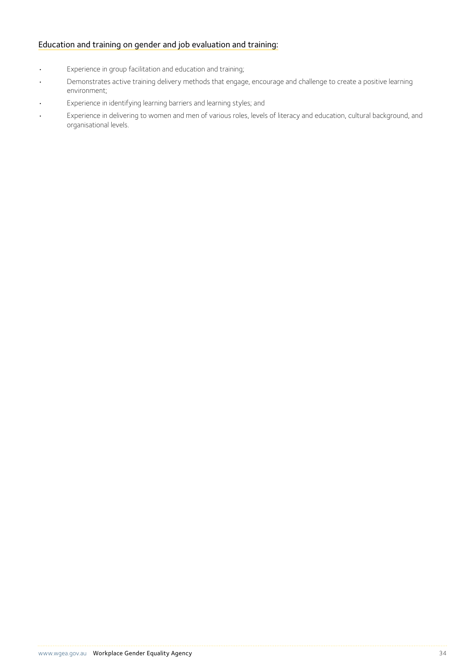### Education and training on gender and job evaluation and training:

- Experience in group facilitation and education and training;
- Demonstrates active training delivery methods that engage, encourage and challenge to create a positive learning environment;
- Experience in identifying learning barriers and learning styles; and
- Experience in delivering to women and men of various roles, levels of literacy and education, cultural background, and organisational levels.